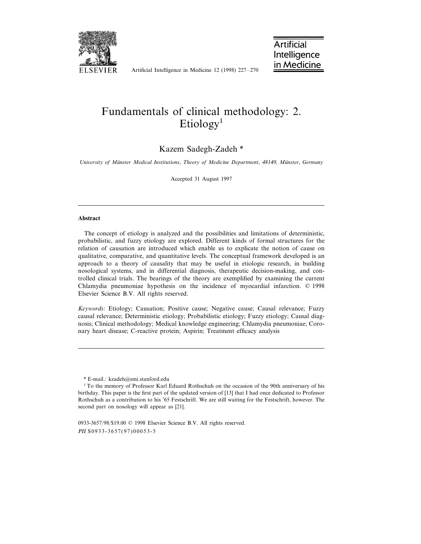

Artificial Intelligence in Medicine 12 (1998) 227–270

**Artificial** Intelligence in Medicine

# Fundamentals of clinical methodology: 2.  $Etiology<sup>1</sup>$

# Kazem Sadegh-Zadeh \*

*University of Münster Medical Institutions, Theory of Medicine Department, 48149, Münster, Germany* 

Accepted 31 August 1997

#### **Abstract**

The concept of etiology is analyzed and the possibilities and limitations of deterministic, probabilistic, and fuzzy etiology are explored. Different kinds of formal structures for the relation of causation are introduced which enable us to explicate the notion of cause on qualitative, comparative, and quantitative levels. The conceptual framework developed is an approach to a theory of causality that may be useful in etiologic research, in building nosological systems, and in differential diagnosis, therapeutic decision-making, and controlled clinical trials. The bearings of the theory are exemplified by examining the current Chlamydia pneumoniae hypothesis on the incidence of myocardial infarction. © 1998 Elsevier Science B.V. All rights reserved.

*Keywords*: Etiology; Causation; Positive cause; Negative cause; Causal relevance; Fuzzy causal relevance; Deterministic etiology; Probabilistic etiology; Fuzzy etiology; Causal diagnosis; Clinical methodology; Medical knowledge engineering; Chlamydia pneumoniae; Coronary heart disease; C-reactive protein; Aspirin; Treatment efficacy analysis

0933-3657/98/\$19.00 © 1998 Elsevier Science B.V. All rights reserved. PII S0933-3657(97)00053-5

<sup>\*</sup> E-mail.: kzadeh@smi.stanford.edu

<sup>1</sup> To the memory of Professor Karl Eduard Rothschuh on the occasion of the 90th anniversary of his birthday. This paper is the first part of the updated version of [13] that I had once dedicated to Professor Rothschuh as a contribution to his '65 Festschrift. We are still waiting for the Festschrift, however. The second part on nosology will appear as [21].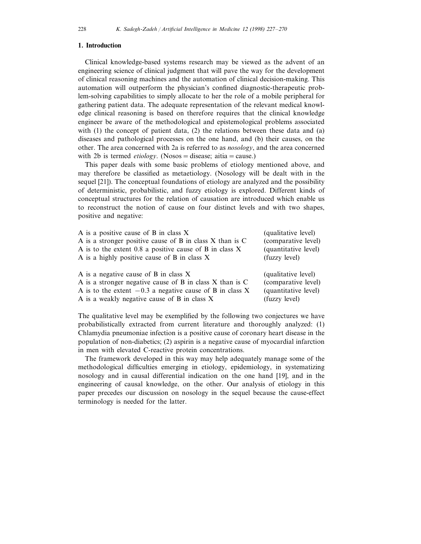# **1. Introduction**

Clinical knowledge-based systems research may be viewed as the advent of an engineering science of clinical judgment that will pave the way for the development of clinical reasoning machines and the automation of clinical decision-making. This automation will outperform the physician's confined diagnostic-therapeutic problem-solving capabilities to simply allocate to her the role of a mobile peripheral for gathering patient data. The adequate representation of the relevant medical knowledge clinical reasoning is based on therefore requires that the clinical knowledge engineer be aware of the methodological and epistemological problems associated with (1) the concept of patient data, (2) the relations between these data and (a) diseases and pathological processes on the one hand, and (b) their causes, on the other. The area concerned with 2a is referred to as *nosology*, and the area concerned with 2b is termed *etiology*. (Nosos = disease; aitia = cause.)

This paper deals with some basic problems of etiology mentioned above, and may therefore be classified as metaetiology. (Nosology will be dealt with in the sequel [21]). The conceptual foundations of etiology are analyzed and the possibility of deterministic, probabilistic, and fuzzy etiology is explored. Different kinds of conceptual structures for the relation of causation are introduced which enable us to reconstruct the notion of cause on four distinct levels and with two shapes, positive and negative:

| A is a positive cause of B in class X                          | (qualitative level)  |
|----------------------------------------------------------------|----------------------|
| A is a stronger positive cause of B in class X than is C       | (comparative level)  |
| A is to the extent 0.8 a positive cause of B in class X        | (quantitative level) |
| A is a highly positive cause of B in class X                   | (fuzzy level)        |
|                                                                |                      |
| A is a negative cause of B in class X                          | (qualitative level)  |
| A is a stronger negative cause of $B$ in class $X$ than is $C$ | (comparative level)  |
| A is to the extent $-0.3$ a negative cause of B in class X     | (quantitative level) |
|                                                                |                      |
| A is a weakly negative cause of B in class X                   | (fuzzy level)        |

The qualitative level may be exemplified by the following two conjectures we have probabilistically extracted from current literature and thoroughly analyzed: (1) Chlamydia pneumoniae infection is a positive cause of coronary heart disease in the population of non-diabetics; (2) aspirin is a negative cause of myocardial infarction in men with elevated C-reactive protein concentrations.

The framework developed in this way may help adequately manage some of the methodological difficulties emerging in etiology, epidemiology, in systematizing nosology and in causal differential indication on the one hand [19], and in the engineering of causal knowledge, on the other. Our analysis of etiology in this paper precedes our discussion on nosology in the sequel because the cause-effect terminology is needed for the latter.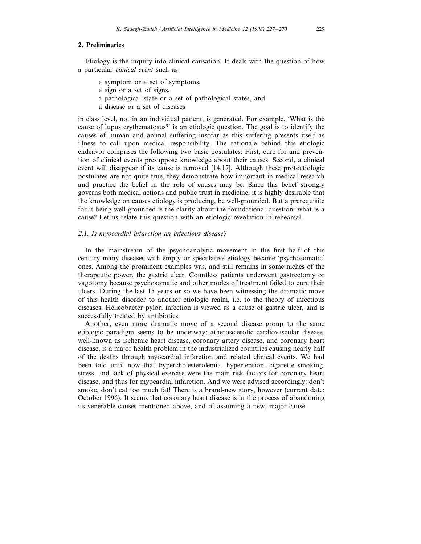# **2. Preliminaries**

Etiology is the inquiry into clinical causation. It deals with the question of how a particular *clinical event* such as

- a symptom or a set of symptoms,
- a sign or a set of signs,
- a pathological state or a set of pathological states, and
- a disease or a set of diseases

in class level, not in an individual patient, is generated. For example, 'What is the cause of lupus erythematosus?' is an etiologic question. The goal is to identify the causes of human and animal suffering insofar as this suffering presents itself as illness to call upon medical responsibility. The rationale behind this etiologic endeavor comprises the following two basic postulates: First, cure for and prevention of clinical events presuppose knowledge about their causes. Second, a clinical event will disappear if its cause is removed [14,17]. Although these protoetiologic postulates are not quite true, they demonstrate how important in medical research and practice the belief in the role of causes may be. Since this belief strongly governs both medical actions and public trust in medicine, it is highly desirable that the knowledge on causes etiology is producing, be well-grounded. But a prerequisite for it being well-grounded is the clarity about the foundational question: what is a cause? Let us relate this question with an etiologic revolution in rehearsal.

#### 2.1. *Is myocardial infarction an infectious disease*?

In the mainstream of the psychoanalytic movement in the first half of this century many diseases with empty or speculative etiology became 'psychosomatic' ones. Among the prominent examples was, and still remains in some niches of the therapeutic power, the gastric ulcer. Countless patients underwent gastrectomy or vagotomy because psychosomatic and other modes of treatment failed to cure their ulcers. During the last 15 years or so we have been witnessing the dramatic move of this health disorder to another etiologic realm, i.e. to the theory of infectious diseases. Helicobacter pylori infection is viewed as a cause of gastric ulcer, and is successfully treated by antibiotics.

Another, even more dramatic move of a second disease group to the same etiologic paradigm seems to be underway: atherosclerotic cardiovascular disease, well-known as ischemic heart disease, coronary artery disease, and coronary heart disease, is a major health problem in the industrialized countries causing nearly half of the deaths through myocardial infarction and related clinical events. We had been told until now that hypercholesterolemia, hypertension, cigarette smoking, stress, and lack of physical exercise were the main risk factors for coronary heart disease, and thus for myocardial infarction. And we were advised accordingly: don't smoke, don't eat too much fat! There is a brand-new story, however (current date: October 1996). It seems that coronary heart disease is in the process of abandoning its venerable causes mentioned above, and of assuming a new, major cause.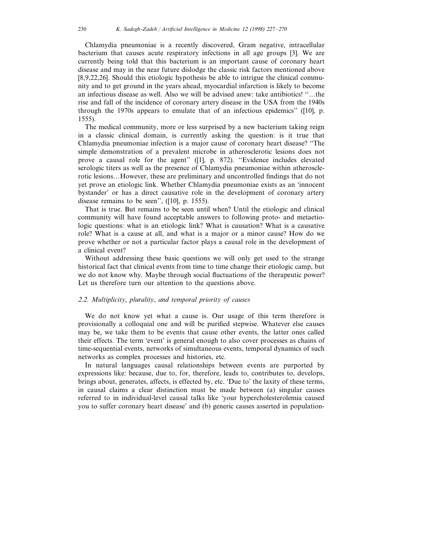230 *K*. *Sadegh*-*Zadeh* / *Artificial Intelligence in Medicine* 12 (1998) 227–270

Chlamydia pneumoniae is a recently discovered, Gram negative, intracellular bacterium that causes acute respiratory infections in all age groups [3]. We are currently being told that this bacterium is an important cause of coronary heart disease and may in the near future dislodge the classic risk factors mentioned above [8,9,22,26]. Should this etiologic hypothesis be able to intrigue the clinical community and to get ground in the years ahead, myocardial infarction is likely to become an infectious disease as well. Also we will be advised anew: take antibiotics! ''…the rise and fall of the incidence of coronary artery disease in the USA from the 1940s through the 1970s appears to emulate that of an infectious epidemics'' ([10], p. 1555).

The medical community, more or less surprised by a new bacterium taking reign in a classic clinical domain, is currently asking the question: is it true that Chlamydia pneumoniae infection is a major cause of coronary heart disease? ''The simple demonstration of a prevalent microbe in atherosclerotic lesions does not prove a causal role for the agent'' ([1], p. 872). ''Evidence includes elevated serologic titers as well as the presence of Chlamydia pneumoniae within atherosclerotic lesions…However, these are preliminary and uncontrolled findings that do not yet prove an etiologic link. Whether Chlamydia pneumoniae exists as an 'innocent bystander' or has a direct causative role in the development of coronary artery disease remains to be seen'', ([10], p. 1555).

That is true. But remains to be seen until when? Until the etiologic and clinical community will have found acceptable answers to following proto- and metaetiologic questions: what is an etiologic link? What is causation? What is a causative role? What is a cause at all, and what is a major or a minor cause? How do we prove whether or not a particular factor plays a causal role in the development of a clinical event?

Without addressing these basic questions we will only get used to the strange historical fact that clinical events from time to time change their etiologic camp, but we do not know why. Maybe through social fluctuations of the therapeutic power? Let us therefore turn our attention to the questions above.

#### 2.2. *Multiplicity*, *plurality*, *and temporal priority of causes*

We do not know yet what a cause is. Our usage of this term therefore is provisionally a colloquial one and will be purified stepwise. Whatever else causes may be, we take them to be events that cause other events, the latter ones called their effects. The term 'event' is general enough to also cover processes as chains of time-sequential events, networks of simultaneous events, temporal dynamics of such networks as complex processes and histories, etc.

In natural languages causal relationships between events are purported by expressions like: because, due to, for, therefore, leads to, contributes to, develops, brings about, generates, affects, is effected by, etc. 'Due to' the laxity of these terms, in causal claims a clear distinction must be made between (a) singular causes referred to in individual-level causal talks like 'your hypercholesterolemia caused you to suffer coronary heart disease' and (b) generic causes asserted in population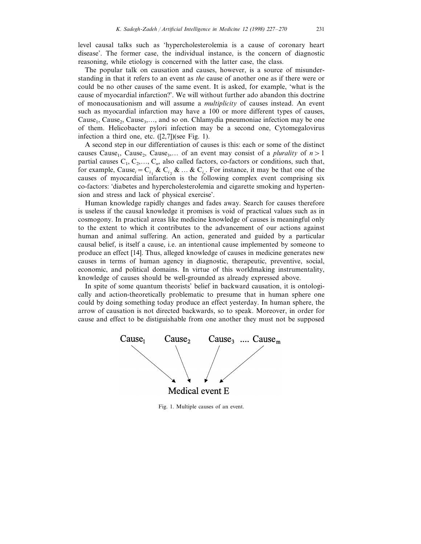level causal talks such as 'hypercholesterolemia is a cause of coronary heart disease'. The former case, the individual instance, is the concern of diagnostic reasoning, while etiology is concerned with the latter case, the class.

The popular talk on causation and causes, however, is a source of misunderstanding in that it refers to an event as *the* cause of another one as if there were or could be no other causes of the same event. It is asked, for example, 'what is the cause of myocardial infarction?'. We will without further ado abandon this doctrine of monocausationism and will assume a *multiplicity* of causes instead. An event such as myocardial infarction may have a 100 or more different types of causes, Cause<sub>1</sub>, Cause<sub>2</sub>, Cause<sub>3</sub>,..., and so on. Chlamydia pneumoniae infection may be one of them. Helicobacter pylori infection may be a second one, Cytomegalovirus infection a third one, etc. ([2,7])(see Fig. 1).

A second step in our differentiation of causes is this: each or some of the distinct causes Cause<sub>1</sub>, Cause<sub>3</sub>, Cause<sub>3</sub>,... of an event may consist of a *plurality* of  $n>1$ partial causes  $C_1, C_2, \ldots, C_n$ , also called factors, co-factors or conditions, such that, for example, Cause<sub>*i*</sub> = C<sub>*i*</sub> & C<sub>*i*</sub> & ... & C<sub>*i*<sub>*i*</sub></sub>. For instance, it may be that one of the causes of myocardial infarction is the following complex event comprising six co-factors: 'diabetes and hypercholesterolemia and cigarette smoking and hypertension and stress and lack of physical exercise'.

Human knowledge rapidly changes and fades away. Search for causes therefore is useless if the causal knowledge it promises is void of practical values such as in cosmogony. In practical areas like medicine knowledge of causes is meaningful only to the extent to which it contributes to the advancement of our actions against human and animal suffering. An action, generated and guided by a particular causal belief, is itself a cause, i.e. an intentional cause implemented by someone to produce an effect [14]. Thus, alleged knowledge of causes in medicine generates new causes in terms of human agency in diagnostic, therapeutic, preventive, social, economic, and political domains. In virtue of this worldmaking instrumentality, knowledge of causes should be well-grounded as already expressed above.

In spite of some quantum theorists' belief in backward causation, it is ontologically and action-theoretically problematic to presume that in human sphere one could by doing something today produce an effect yesterday. In human sphere, the arrow of causation is not directed backwards, so to speak. Moreover, in order for cause and effect to be distiguishable from one another they must not be supposed



Fig. 1. Multiple causes of an event.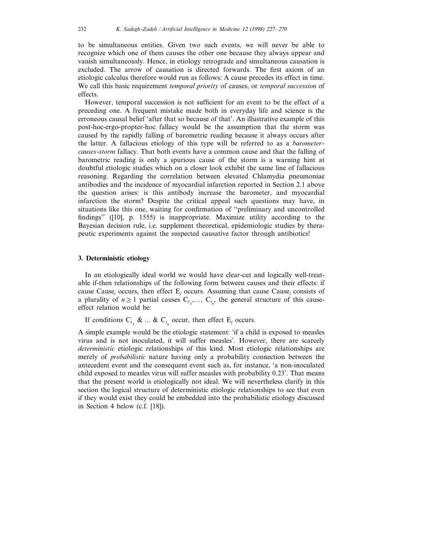to be simultaneous entities. Given two such events, we will never be able to recognize which one of them causes the other one because they always appear and vanish simultaneously. Hence, in etiology retrograde and simultaneous causation is excluded. The arrow of causation is directed forwards. The first axiom of an etiologic calculus therefore would run as follows: A cause precedes its effect in time. We call this basic requirement *temporal priority* of causes, or *temporal succession* of effects.

However, temporal succession is not sufficient for an event to be the effect of a preceding one. A frequent mistake made both in everyday life and science is the erroneous causal belief 'after that so because of that'. An illustrative example of this post-hoc-ergo-propter-hoc fallacy would be the assumption that the storm was caused by the rapidly falling of barometric reading because it always occurs after the latter. A fallacious etiology of this type will be referred to as a *barometercauses*-*storm* fallacy. That both events have a common cause and that the falling of barometric reading is only a spurious cause of the storm is a warning hint at doubtful etiologic studies which on a closer look exhibit the same line of fallacious reasoning. Regarding the correlation between elevated Chlamydia pneumoniae antibodies and the incidence of myocardial infarction reported in Section 2.1 above the question arises: is this antibody increase the barometer, and myocardial infarction the storm? Despite the critical appeal such questions may have, in situations like this one, waiting for confirmation of ''preliminary and uncontrolled findings'' ([10], p. 1555) is inappropriate. Maximize utility according to the Bayesian decision rule, i.e. supplement theoretical, epidemiologic studies by therapeutic experiments against the suspected causative factor through antibiotics!

#### **3. Deterministic etiology**

In an etiologically ideal world we would have clear-cut and logically well-treatable if-then relationships of the following form between causes and their effects: if cause Cause<sub>i</sub> occurs, then effect  $E_i$  occurs. Assuming that cause Cause<sub>i</sub> consists of a plurality of  $n \ge 1$  partial causes  $C_{i_1},..., C_{i_n}$ , the general structure of this causeeffect relation would be:

If conditions  $C_{i_1}$  & ... &  $C_{i_n}$  occur, then effect  $E_j$  occurs.

A simple example would be the etiologic statement: 'if a child is exposed to measles virus and is not inoculated, it will suffer measles'. However, there are scarcely *deterministic* etiologic relationships of this kind. Most etiologic relationships are merely of *probabilistic* nature having only a probability connection between the antecedent event and the consequent event such as, for instance, 'a non-inoculated child exposed to measles virus will suffer measles with probability 0.23'. That means that the present world is etiologically not ideal. We will nevertheless clarify in this section the logical structure of deterministic etiologic relationships to see that even if they would exist they could be embedded into the probabilistic etiology discussed in Section 4 below (c.f. [18]).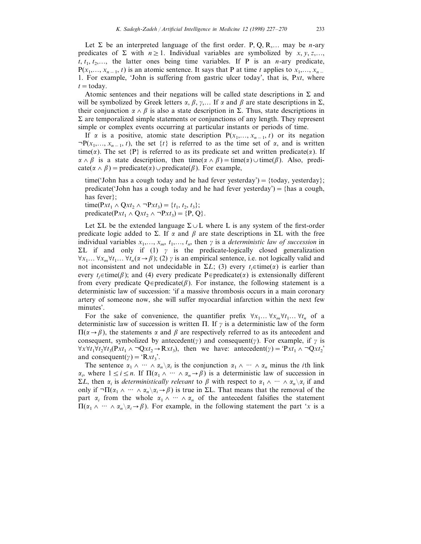Let  $\Sigma$  be an interpreted language of the first order. P, Q, R,... may be *n*-ary predicates of  $\Sigma$  with  $n \geq 1$ . Individual variables are symbolized by *x*, *y*, *z*,…,  $t, t_1, t_2, \ldots$ , the latter ones being time variables. If P is an *n*-ary predicate,  $P(x_1, \ldots, x_{n-1}, t)$  is an atomic sentence. It says that P at time *t* applies to  $x_1, \ldots, x_{n-1}$ 1. For example, 'John is suffering from gastric ulcer today', that is, P*xt*, where  $t =$ today.

Atomic sentences and their negations will be called state descriptions in  $\Sigma$  and will be symbolized by Greek letters  $\alpha$ ,  $\beta$ ,  $\gamma$ ,... If  $\alpha$  and  $\beta$  are state descriptions in  $\Sigma$ , their conjunction  $\alpha \wedge \beta$  is also a state description in  $\Sigma$ . Thus, state descriptions in  $\Sigma$  are temporalized simple statements or conjunctions of any length. They represent simple or complex events occurring at particular instants or periods of time.

If  $\alpha$  is a positive, atomic state description  $P(x_1, ..., x_{n-1}, t)$  or its negation  $\neg P(x_1,...,x_{n-1}, t)$ , the set {*t*} is referred to as the time set of  $\alpha$ , and is written time( $\alpha$ ). The set {P} is referred to as its predicate set and written predicate( $\alpha$ ). If  $\alpha \wedge \beta$  is a state description, then time( $\alpha \wedge \beta$ ) = time( $\alpha$ )  $\cup$  time( $\beta$ ). Also, predicate( $\alpha \wedge \beta$ ) = predicate( $\alpha$ )  $\cup$  predicate( $\beta$ ). For example,

time('John has a cough today and he had fever yesterday') = {today, yesterday}; predicate('John has a cough today and he had fever yesterday') = {has a cough, has fever};

time(Pxt<sub>1</sub>  $\land$  Qxt<sub>2</sub>  $\land \neg$ Pxt<sub>3</sub>) = {t<sub>1</sub>, t<sub>2</sub>, t<sub>3</sub>}; predicate( $Pxt_1 \wedge Qxt_2 \wedge \neg Pxt_3$ ) = {P, Q}.

Let  $\Sigma L$  be the extended language  $\Sigma \cup L$  where L is any system of the first-order predicate logic added to  $\Sigma$ . If  $\alpha$  and  $\beta$  are state descriptions in  $\Sigma L$  with the free individual variables  $x_1, \ldots, x_m, t_1, \ldots, t_n$ , then  $\gamma$  is a *deterministic law of succession* in  $\Sigma L$  if and only if (1)  $\gamma$  is the predicate-logically closed generalization  $\forall x_1 \dots \forall x_m \forall t_1 \dots \forall t_n (\alpha \rightarrow \beta);$  (2)  $\gamma$  is an empirical sentence, i.e. not logically valid and not inconsistent and not undecidable in  $\Sigma L$ ; (3) every  $t_i \in \text{time}(\alpha)$  is earlier than every  $t_i \in \text{time}(\beta)$ ; and (4) every predicate P $\in$  predicate( $\alpha$ ) is extensionally different from every predicate  $Q \in \text{predicate}(\beta)$ . For instance, the following statement is a deterministic law of succession: 'if a massive thrombosis occurs in a main coronary artery of someone now, she will suffer myocardial infarction within the next few minutes'.

For the sake of convenience, the quantifier prefix  $\forall x_1... \forall x_m \forall t_1... \forall t_n$  of a deterministic law of succession is written  $\Pi$ . If  $\gamma$  is a deterministic law of the form  $\Pi(\alpha \rightarrow \beta)$ , the statements  $\alpha$  and  $\beta$  are respectively referred to as its antecedent and consequent, symbolized by antecedent(y) and consequent(y). For example, if y is  $\forall x \forall t_1 \forall t_2 \forall t_3(Pxt_1 \land \neg Qxt_2 \rightarrow Rxt_3)$ , then we have: antecedent(y) = 'P*xt*<sub>1</sub>  $\land \neg Qxt_2$ ' and consequent( $\gamma$ ) = 'R*xt*<sub>3</sub>'.

The sentence  $\alpha_1 \wedge \cdots \wedge \alpha_n \backslash \alpha_i$  is the conjunction  $\alpha_1 \wedge \cdots \wedge \alpha_n$  minus the *i*th link  $\alpha_i$ , where  $1 \le i \le n$ . If  $\Pi(\alpha_1 \wedge \cdots \wedge \alpha_n \rightarrow \beta)$  is a deterministic law of succession in  $\Sigma L$ , then  $\alpha_i$  is *deterministically relevant* to  $\beta$  with respect to  $\alpha_1 \wedge \cdots \wedge \alpha_n \setminus \alpha_i$  if and only if  $\neg \Pi(\alpha_1 \land \cdots \land \alpha_n) \alpha_i \rightarrow \beta$ ) is true in  $\Sigma L$ . That means that the removal of the part  $\alpha_i$  from the whole  $\alpha_1 \wedge \cdots \wedge \alpha_n$  of the antecedent falsifies the statement  $\Pi(\alpha_1 \wedge \cdots \wedge \alpha_n) \alpha_i \rightarrow \beta$ ). For example, in the following statement the part '*x* is a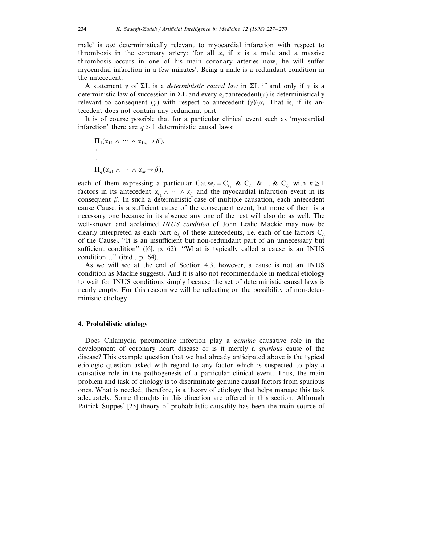male' is *not* deterministically relevant to myocardial infarction with respect to thrombosis in the coronary artery: 'for all  $x$ , if  $x$  is a male and a massive thrombosis occurs in one of his main coronary arteries now, he will suffer myocardial infarction in a few minutes'. Being a male is a redundant condition in the antecedent.

A statement y of  $\Sigma L$  is a *deterministic causal law* in  $\Sigma L$  if and only if y is a deterministic law of succession in  $\Sigma L$  and every  $\alpha_i \in \text{antecedent}(\gamma)$  is deterministically relevant to consequent ( $\gamma$ ) with respect to antecedent ( $\gamma$ )  $\alpha$ <sub>*i*</sub>. That is, if its antecedent does not contain any redundant part.

It is of course possible that for a particular clinical event such as 'myocardial infarction' there are  $q>1$  deterministic causal laws:

$$
\Pi_1(\alpha_{11} \wedge \cdots \wedge \alpha_{1m} \to \beta),
$$
  
.  

$$
\Pi_q(\alpha_{q1} \wedge \cdots \wedge \alpha_{qr} \to \beta),
$$

each of them expressing a particular Cause<sub>*i*</sub> = C<sub>*i*</sub> & C<sub>*i*</sub> & ... & C<sub>*i<sub>n</sub>*</sub> with  $n \ge 1$ factors in its antecedent  $\alpha_{i_1} \wedge \cdots \wedge \alpha_{i_n}$  and the myocardial infarction event in its consequent  $\beta$ . In such a deterministic case of multiple causation, each antecedent cause Cause*<sup>i</sup>* is a sufficient cause of the consequent event, but none of them is a necessary one because in its absence any one of the rest will also do as well. The well-known and acclaimed *INUS condition* of John Leslie Mackie may now be clearly interpreted as each part  $\alpha_i$  of these antecedents, i.e. each of the factors  $C_i$ of the Cause<sub>*i*</sub>. "It is an insufficient but non-redundant part of an unnecessary but sufficient condition" ([6], p. 62). "What is typically called a cause is an INUS condition…'' (ibid., p. 64).

As we will see at the end of Section 4.3, however, a cause is not an INUS condition as Mackie suggests. And it is also not recommendable in medical etiology to wait for INUS conditions simply because the set of deterministic causal laws is nearly empty. For this reason we will be reflecting on the possibility of non-deterministic etiology.

## **4. Probabilistic etiology**

Does Chlamydia pneumoniae infection play a *genuine* causative role in the development of coronary heart disease or is it merely a *spurious* cause of the disease? This example question that we had already anticipated above is the typical etiologic question asked with regard to any factor which is suspected to play a causative role in the pathogenesis of a particular clinical event. Thus, the main problem and task of etiology is to discriminate genuine causal factors from spurious ones. What is needed, therefore, is a theory of etiology that helps manage this task adequately. Some thoughts in this direction are offered in this section. Although Patrick Suppes' [25] theory of probabilistic causality has been the main source of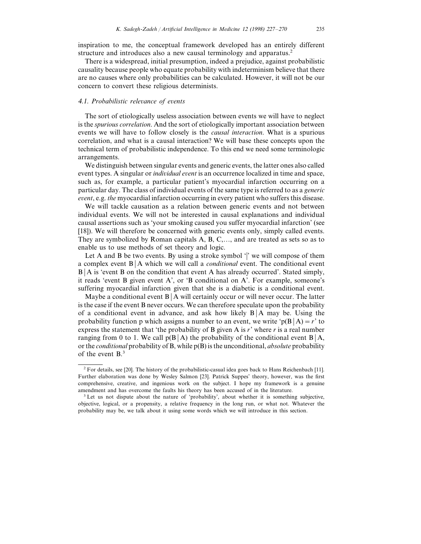inspiration to me, the conceptual framework developed has an entirely different structure and introduces also a new causal terminology and apparatus.<sup>2</sup>

There is a widespread, initial presumption, indeed a prejudice, against probabilistic causality because people who equate probability with indeterminism believe that there are no causes where only probabilities can be calculated. However, it will not be our concern to convert these religious determinists.

#### 4.1. *Probabilistic rele*6*ance of e*6*ents*

The sort of etiologically useless association between events we will have to neglect is the *spurious correlation*. And the sort of etiologically important association between events we will have to follow closely is the *causal interaction*. What is a spurious correlation, and what is a causal interaction? We will base these concepts upon the technical term of probabilistic independence. To this end we need some terminologic arrangements.

We distinguish between singular events and generic events, the latter ones also called event types. A singular or *individual event* is an occurrence localized in time and space, such as, for example, a particular patient's myocardial infarction occurring on a particular day. The class of individual events of the same type is referred to as a *generic event*, e.g. *the* myocardial infarction occurring in every patient who suffers this disease.

We will tackle causation as a relation between generic events and not between individual events. We will not be interested in causal explanations and individual causal assertions such as 'your smoking caused you suffer myocardial infarction' (see [18]). We will therefore be concerned with generic events only, simply called events. They are symbolized by Roman capitals A, B, C,…, and are treated as sets so as to enable us to use methods of set theory and logic.

Let A and B be two events. By using a stroke symbol  $\dot{\ }$  we will compose of them a complex event  $B \mid A$  which we will call a *conditional* event. The conditional event  $B \mid A$  is 'event B on the condition that event A has already occurred'. Stated simply, it reads 'event B given event A', or 'B conditional on A'. For example, someone's suffering myocardial infarction given that she is a diabetic is a conditional event.

Maybe a conditional event  $B \mid A$  will certainly occur or will never occur. The latter is the case if the event B never occurs. We can therefore speculate upon the probability of a conditional event in advance, and ask how likely  $B \mid A$  may be. Using the probability function p which assigns a number to an event, we write ' $p(B|A) = r'$  to express the statement that 'the probability of B given A is  $r'$  where  $r$  is a real number ranging from 0 to 1. We call  $p(B|A)$  the probability of the conditional event  $B|A$ , or the *conditional* probability of B, while p(B) is the unconditional, *absolute* probability of the event B.3

<sup>2</sup> For details, see [20]. The history of the probabilistic-casual idea goes back to Hans Reichenbach [11]. Further elaboration was done by Wesley Salmon [23]. Patrick Suppes' theory, however, was the first comprehensive, creative, and ingenious work on the subject. I hope my framework is a genuine amendment and has overcome the faults his theory has been accused of in the literature.

<sup>&</sup>lt;sup>3</sup> Let us not dispute about the nature of 'probability', about whether it is something subjective, objective, logical, or a propensity, a relative frequency in the long run, or what not. Whatever the probability may be, we talk about it using some words which we will introduce in this section.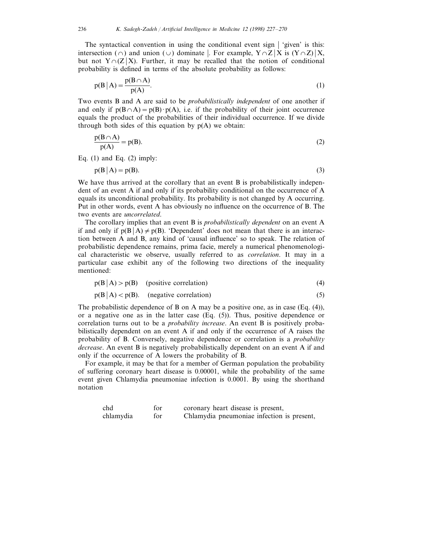The syntactical convention in using the conditional event sign  $\int$  'given' is this: intersection ( $\cap$ ) and union ( $\cup$ ) dominate . For example,  $Y \cap Z | X$  is  $(Y \cap Z) | X$ , but not  $Y \cap (Z|X)$ . Further, it may be recalled that the notion of conditional probability is defined in terms of the absolute probability as follows:

$$
p(B | A) = \frac{p(B \cap A)}{p(A)}.
$$
\n(1)

Two events B and A are said to be *probabilistically independent* of one another if and only if  $p(B \cap A) = p(B) \cdot p(A)$ , i.e. if the probability of their joint occurrence equals the product of the probabilities of their individual occurrence. If we divide through both sides of this equation by  $p(A)$  we obtain:

$$
\frac{p(B \cap A)}{p(A)} = p(B). \tag{2}
$$

Eq.  $(1)$  and Eq.  $(2)$  imply:

 $p(B|A) = p(B).$  (3)

We have thus arrived at the corollary that an event B is probabilistically independent of an event A if and only if its probability conditional on the occurrence of A equals its unconditional probability. Its probability is not changed by A occurring. Put in other words, event A has obviously no influence on the occurrence of B. The two events are *uncorrelated*.

The corollary implies that an event B is *probabilistically dependent* on an event A if and only if  $p(B|A) \neq p(B)$ . 'Dependent' does not mean that there is an interaction between A and B, any kind of 'causal influence' so to speak. The relation of probabilistic dependence remains, prima facie, merely a numerical phenomenological characteristic we observe, usually referred to as *correlation*. It may in a particular case exhibit any of the following two directions of the inequality mentioned:

$$
p(B|A) > p(B) \quad \text{(positive correlation)}\tag{4}
$$

$$
p(B|A) < p(B). \quad \text{(negative correlation)} \tag{5}
$$

The probabilistic dependence of B on A may be a positive one, as in case (Eq. (4)), or a negative one as in the latter case  $(Eq. (5))$ . Thus, positive dependence or correlation turns out to be a *probability increase*. An event B is positively probabilistically dependent on an event A if and only if the occurrence of A raises the probability of B. Conversely, negative dependence or correlation is a *probability decrease*. An event B is negatively probabilistically dependent on an event A if and only if the occurrence of A lowers the probability of B.

For example, it may be that for a member of German population the probability of suffering coronary heart disease is 0.00001, while the probability of the same event given Chlamydia pneumoniae infection is 0.0001. By using the shorthand notation

| chd       | for | coronary heart disease is present,         |
|-----------|-----|--------------------------------------------|
| chlamydia | for | Chlamydia pneumoniae infection is present, |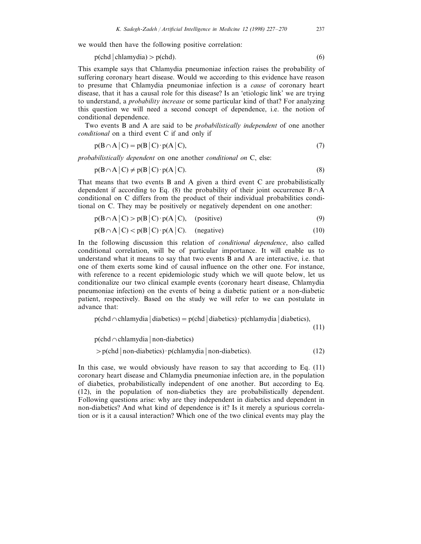we would then have the following positive correlation:

$$
p(chd | chlamydia) > p(chd).
$$
\n(6)

This example says that Chlamydia pneumoniae infection raises the probability of suffering coronary heart disease. Would we according to this evidence have reason to presume that Chlamydia pneumoniae infection is a *cause* of coronary heart disease, that it has a causal role for this disease? Is an 'etiologic link' we are trying to understand, a *probability increase* or some particular kind of that? For analyzing this question we will need a second concept of dependence, i.e. the notion of conditional dependence.

Two events B and A are said to be *probabilistically independent* of one another *conditional* on a third event C if and only if

$$
p(B \cap A \mid C) = p(B \mid C) \cdot p(A \mid C), \tag{7}
$$

*probabilistically dependent* on one another *conditional on* C, else:

$$
p(B \cap A \mid C) \neq p(B \mid C) \cdot p(A \mid C). \tag{8}
$$

That means that two events B and A given a third event C are probabilistically dependent if according to Eq. (8) the probability of their joint occurrence  $B \cap A$ conditional on C differs from the product of their individual probabilities conditional on C. They may be positively or negatively dependent on one another:

$$
p(B \cap A \mid C) > p(B \mid C) \cdot p(A \mid C), \quad (positive)
$$
\n(9)

$$
p(B \cap A \mid C) < p(B \mid C) \cdot p(A \mid C). \quad \text{(negative)} \tag{10}
$$

In the following discussion this relation of *conditional dependence*, also called conditional correlation, will be of particular importance. It will enable us to understand what it means to say that two events B and A are interactive, i.e. that one of them exerts some kind of causal influence on the other one. For instance, with reference to a recent epidemiologic study which we will quote below, let us conditionalize our two clinical example events (coronary heart disease, Chlamydia pneumoniae infection) on the events of being a diabetic patient or a non-diabetic patient, respectively. Based on the study we will refer to we can postulate in advance that:

$$
p(chd \cap chlamydia | diabetics) = p(chd | diabetics) \cdot p(chlamydia | diabetics),
$$

 $p$ (chd $\cap$ chlamydia | non-diabetics)  $> p(chd | non-diabetics) \cdot p(chlamydia | non-diabetics).$  (12)

In this case, we would obviously have reason to say that according to Eq. (11) coronary heart disease and Chlamydia pneumoniae infection are, in the population of diabetics, probabilistically independent of one another. But according to Eq. (12), in the population of non-diabetics they are probabilistically dependent. Following questions arise: why are they independent in diabetics and dependent in non-diabetics? And what kind of dependence is it? Is it merely a spurious correlation or is it a causal interaction? Which one of the two clinical events may play the

(11)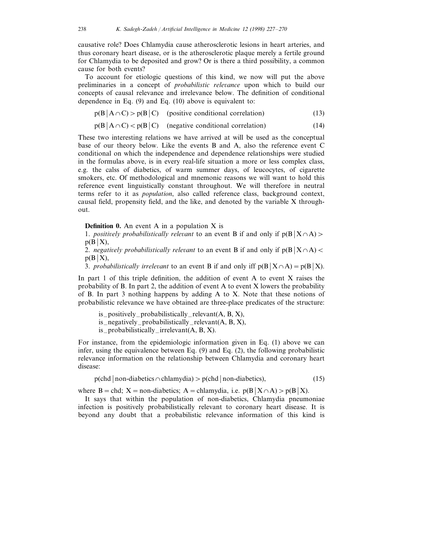causative role? Does Chlamydia cause atherosclerotic lesions in heart arteries, and thus coronary heart disease, or is the atherosclerotic plaque merely a fertile ground for Chlamydia to be deposited and grow? Or is there a third possibility, a common cause for both events?

To account for etiologic questions of this kind, we now will put the above preliminaries in a concept of *probabilistic relevance* upon which to build our concepts of causal relevance and irrelevance below. The definition of conditional dependence in Eq. (9) and Eq. (10) above is equivalent to:

 $p(B | A \cap C) > p(B | C)$  (positive conditional correlation) (13)

$$
p(B | A \cap C) < p(B | C) \quad \text{(negative conditional correlation)} \tag{14}
$$

These two interesting relations we have arrived at will be used as the conceptual base of our theory below. Like the events B and A, also the reference event C conditional on which the independence and dependence relationships were studied in the formulas above, is in every real-life situation a more or less complex class, e.g. the calss of diabetics, of warm summer days, of leucocytes, of cigarette smokers, etc. Of methodological and mnemonic reasons we will want to hold this reference event linguistically constant throughout. We will therefore in neutral terms refer to it as *population*, also called reference class, background context, causal field, propensity field, and the like, and denoted by the variable X throughout.

**Definition 0.** An event A in a population X is

1. *positively probabilistically relevant* to an event B if and only if  $p(B|X \cap A)$  $p(B|X)$ ,

2. *negatively probabilistically relevant* to an event B if and only if  $p(B|X \cap A)$  $p(B|X)$ ,

3. *probabilistically irrelevant* to an event B if and only iff  $p(B|X \cap A) = p(B|X)$ .

In part 1 of this triple definition, the addition of event A to event X raises the probability of B. In part 2, the addition of event A to event X lowers the probability of B. In part 3 nothing happens by adding A to X. Note that these notions of probabilistic relevance we have obtained are three-place predicates of the structure:

is–positively–probabilistically–relevant $(A, B, X)$ ,

is negatively probabilistically relevant  $(A, B, X)$ ,

 $is\_probability\_irrelevant(A, B, X).$ 

For instance, from the epidemiologic information given in Eq. (1) above we can infer, using the equivalence between Eq. (9) and Eq. (2), the following probabilistic relevance information on the relationship between Chlamydia and coronary heart disease:

$$
p(chd | non-diabetics \cap chlamydia) > p(chd | non-diabetics),
$$
\n(15)

where B = chd; X = non-diabetics; A = chlamydia, i.e.  $p(B|X \cap A) > p(B|X)$ .

It says that within the population of non-diabetics, Chlamydia pneumoniae infection is positively probabilistically relevant to coronary heart disease. It is beyond any doubt that a probabilistic relevance information of this kind is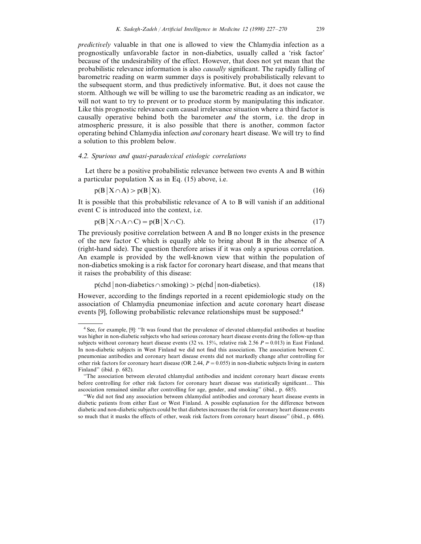*predictively* valuable in that one is allowed to view the Chlamydia infection as a prognostically unfavorable factor in non-diabetics, usually called a 'risk factor' because of the undesirability of the effect. However, that does not yet mean that the probabilistic relevance information is also *causally* significant. The rapidly falling of barometric reading on warm summer days is positively probabilistically relevant to the subsequent storm, and thus predictively informative. But, it does not cause the storm. Although we will be willing to use the barometric reading as an indicator, we will not want to try to prevent or to produce storm by manipulating this indicator. Like this prognostic relevance cum causal irrelevance situation where a third factor is causally operative behind both the barometer *and* the storm, i.e. the drop in atmospheric pressure, it is also possible that there is another, common factor operating behind Chlamydia infection *and* coronary heart disease. We will try to find a solution to this problem below.

# 4.2. *Spurious and quasi*-*paradoxical etiologic correlations*

Let there be a positive probabilistic relevance between two events A and B within a particular population  $X$  as in Eq. (15) above, i.e.

$$
p(B|X \cap A) > p(B|X). \tag{16}
$$

It is possible that this probabilistic relevance of A to B will vanish if an additional event C is introduced into the context, i.e.

$$
p(B|X \cap A \cap C) = p(B|X \cap C). \tag{17}
$$

The previously positive correlation between A and B no longer exists in the presence of the new factor C which is equally able to bring about B in the absence of A (right-hand side). The question therefore arises if it was only a spurious correlation. An example is provided by the well-known view that within the population of non-diabetics smoking is a risk factor for coronary heart disease, and that means that it raises the probability of this disease:

$$
p(chd | non-diabetics \cap smoking) > p(chd | non-diabetics).
$$
\n(18)

However, according to the findings reported in a recent epidemiologic study on the association of Chlamydia pneumoniae infection and acute coronary heart disease events [9], following probabilistic relevance relationships must be supposed:<sup>4</sup>

<sup>4</sup> See, for example, [9]: ''It was found that the prevalence of elevated chlamydial antibodies at baseline was higher in non-diabetic subjects who had serious coronary heart disease events dring the follow-up than subjects without coronary heart disease events (32 vs. 15%, relative risk 2.56  $P = 0.013$ ) in East Finland. In non-diabetic subjects in West Finland we did not find this association. The association between C. pneumoniae antibodies and coronary heart disease events did not markedly change after controlling for other risk factors for coronary heart disease (OR 2.44, *P*=0.055) in non-diabetic subjects living in eastern Finland'' (ibid. p. 682).

<sup>&#</sup>x27;'The association between elevated chlamydial antibodies and incident coronary heart disease events before controlling for other risk factors for coronary heart disease was statistically significant… This ascociation remained similar after controlling for age, gender, and smoking'' (ibid., p. 685).

<sup>&#</sup>x27;'We did not find any association between chlamydial antibodies and coronary heart disease events in diabetic patients from either East or West Finland. A possible explanation for the difference between diabetic and non-diabetic subjects could be that diabetes increases the risk for coronary heart disease events so much that it masks the effects of other, weak risk factors from coronary heart disease'' (ibid., p. 686).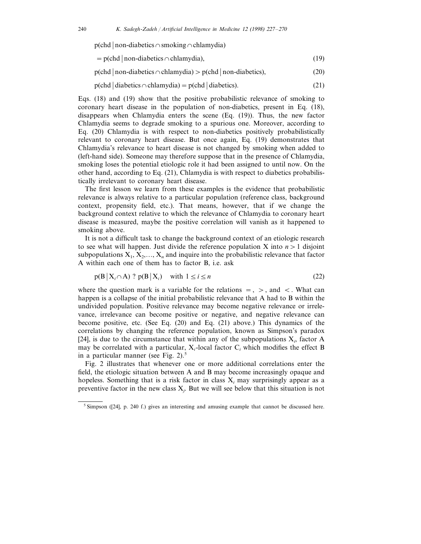$p(chd | non-diabetics \cap smoking \cap chlamydia)$ 

 $=$  p(chd | non-diabetics  $\cap$  chlamydia), (19)

$$
p(chd \mid non-diabetics \cap chlamydia) > p(chd \mid non-diabetics),
$$
\n(20)

 $p(chd | diabetics \cap chlamydia) = p(chd | diabetics).$  (21)

Eqs. (18) and (19) show that the positive probabilistic relevance of smoking to coronary heart disease in the population of non-diabetics, present in Eq. (18), disappears when Chlamydia enters the scene (Eq. (19)). Thus, the new factor Chlamydia seems to degrade smoking to a spurious one. Moreover, according to Eq. (20) Chlamydia is with respect to non-diabetics positively probabilistically relevant to coronary heart disease. But once again, Eq. (19) demonstrates that Chlamydia's relevance to heart disease is not changed by smoking when added to (left-hand side). Someone may therefore suppose that in the presence of Chlamydia, smoking loses the potential etiologic role it had been assigned to until now. On the other hand, according to Eq. (21), Chlamydia is with respect to diabetics probabilistically irrelevant to coronary heart disease.

The first lesson we learn from these examples is the evidence that probabilistic relevance is always relative to a particular population (reference class, background context, propensity field, etc.). That means, however, that if we change the background context relative to which the relevance of Chlamydia to coronary heart disease is measured, maybe the positive correlation will vanish as it happened to smoking above.

It is not a difficult task to change the background context of an etiologic research to see what will happen. Just divide the reference population X into  $n>1$  disjoint subpopulations  $X_1, X_2, \ldots, X_n$  and inquire into the probabilistic relevance that factor A within each one of them has to factor B, i.e. ask

$$
p(B|X_i \cap A) ? p(B|X_i) \quad \text{with } 1 \le i \le n \tag{22}
$$

where the question mark is a variable for the relations  $=$ ,  $>$ , and  $\lt$ . What can happen is a collapse of the initial probabilistic relevance that A had to B within the undivided population. Positive relevance may become negative relevance or irrelevance, irrelevance can become positive or negative, and negative relevance can become positive, etc. (See Eq. (20) and Eq. (21) above.) This dynamics of the correlations by changing the reference population, known as Simpson's paradox [24], is due to the circumstance that within any of the subpopulations  $X_i$ , factor A may be correlated with a particular,  $X_i$ -local factor  $C_i$  which modifies the effect B in a particular manner (see Fig. 2).<sup>5</sup>

Fig. 2 illustrates that whenever one or more additional correlations enter the field, the etiologic situation between A and B may become increasingly opaque and hopeless. Something that is a risk factor in class  $X_i$  may surprisingly appear as a preventive factor in the new class X*<sup>j</sup>* . But we will see below that this situation is not

<sup>5</sup> Simpson ([24], p. 240 f.) gives an interesting and amusing example that cannot be discussed here.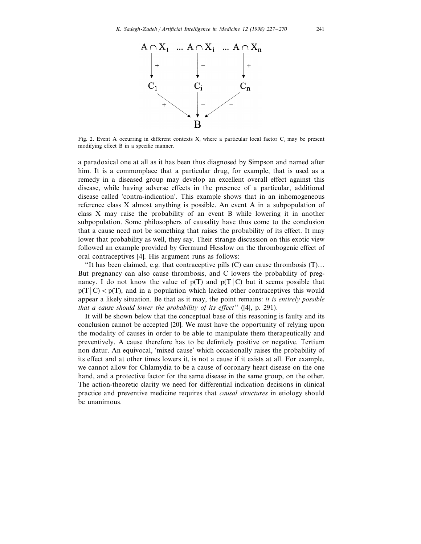

Fig. 2. Event A occurring in different contexts  $X_i$  where a particular local factor  $C_i$  may be present modifying effect B in a specific manner.

a paradoxical one at all as it has been thus diagnosed by Simpson and named after him. It is a commonplace that a particular drug, for example, that is used as a remedy in a diseased group may develop an excellent overall effect against this disease, while having adverse effects in the presence of a particular, additional disease called 'contra-indication'. This example shows that in an inhomogeneous reference class X almost anything is possible. An event A in a subpopulation of class X may raise the probability of an event B while lowering it in another subpopulation. Some philosophers of causality have thus come to the conclusion that a cause need not be something that raises the probability of its effect. It may lower that probability as well, they say. Their strange discussion on this exotic view followed an example provided by Germund Hesslow on the thrombogenic effect of oral contraceptives [4]. His argument runs as follows:

"It has been claimed, e.g. that contraceptive pills  $(C)$  can cause thrombosis  $(T)$ ... But pregnancy can also cause thrombosis, and C lowers the probability of pregnancy. I do not know the value of  $p(T)$  and  $p(T|C)$  but it seems possible that  $p(T|C) < p(T)$ , and in a population which lacked other contraceptives this would appear a likely situation. Be that as it may, the point remains: *it is entirely possible that a cause should lower the probability of its effect*'' ([4], p. 291).

It will be shown below that the conceptual base of this reasoning is faulty and its conclusion cannot be accepted [20]. We must have the opportunity of relying upon the modality of causes in order to be able to manipulate them therapeutically and preventively. A cause therefore has to be definitely positive or negative. Tertium non datur. An equivocal, 'mixed cause' which occasionally raises the probability of its effect and at other times lowers it, is not a cause if it exists at all. For example, we cannot allow for Chlamydia to be a cause of coronary heart disease on the one hand, and a protective factor for the same disease in the same group, on the other. The action-theoretic clarity we need for differential indication decisions in clinical practice and preventive medicine requires that *causal structures* in etiology should be unanimous.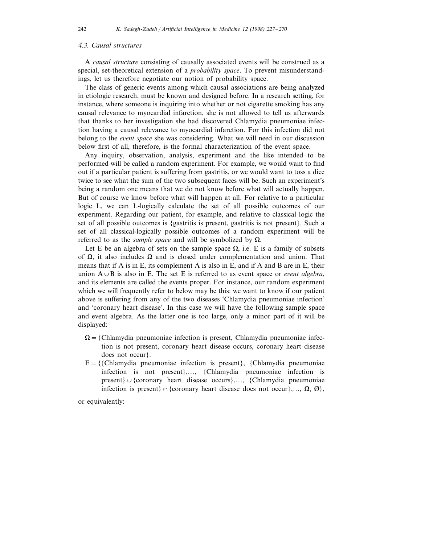## 4.3. *Causal structures*

A *causal structure* consisting of causally associated events will be construed as a special, set-theoretical extension of a *probability space*. To prevent misunderstandings, let us therefore negotiate our notion of probability space.

The class of generic events among which causal associations are being analyzed in etiologic research, must be known and designed before. In a research setting, for instance, where someone is inquiring into whether or not cigarette smoking has any causal relevance to myocardial infarction, she is not allowed to tell us afterwards that thanks to her investigation she had discovered Chlamydia pneumoniae infection having a causal relevance to myocardial infarction. For this infection did not belong to the *event space* she was considering. What we will need in our discussion below first of all, therefore, is the formal characterization of the event space.

Any inquiry, observation, analysis, experiment and the like intended to be performed will be called a random experiment. For example, we would want to find out if a particular patient is suffering from gastritis, or we would want to toss a dice twice to see what the sum of the two subsequent faces will be. Such an experiment's being a random one means that we do not know before what will actually happen. But of course we know before what will happen at all. For relative to a particular logic L, we can L-logically calculate the set of all possible outcomes of our experiment. Regarding our patient, for example, and relative to classical logic the set of all possible outcomes is {gastritis is present, gastritis is not present}. Such a set of all classical-logically possible outcomes of a random experiment will be referred to as the *sample space* and will be symbolized by  $\Omega$ .

Let E be an algebra of sets on the sample space  $\Omega$ , i.e. E is a family of subsets of  $\Omega$ , it also includes  $\Omega$  and is closed under complementation and union. That means that if A is in E, its complement  $\overline{A}$  is also in E, and if A and B are in E, their union  $A \cup B$  is also in E. The set E is referred to as event space or *event algebra*, and its elements are called the events proper. For instance, our random experiment which we will frequently refer to below may be this: we want to know if our patient above is suffering from any of the two diseases 'Chlamydia pneumoniae infection' and 'coronary heart disease'. In this case we will have the following sample space and event algebra. As the latter one is too large, only a minor part of it will be displayed:

- $\Omega = \{Chlamydia \text{ pneumoniae infection is present, Chlamydia pneumoniae infecc-1}\}$ tion is not present, coronary heart disease occurs, coronary heart disease does not occur}.
- $E = \{\{Chlamydia \text{~preumont}\} \}$ ,  $\{Chlamydia \text{~preumont}\}$ infection is not present},…, {Chlamydia pneumoniae infection is present $\} \cup \{coronary heart disease occurs\}, \ldots, \{Chlamydia pneumoniae\}$ infection is present}  $\cap$  {coronary heart disease does not occur},...,  $\Omega$ ,  $\emptyset$ },

or equivalently: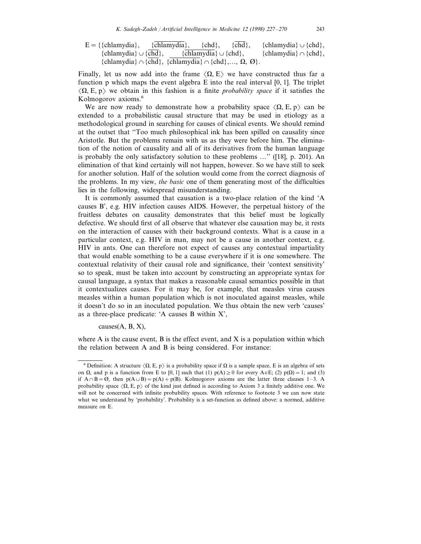$E = \{\{chlamvdia\}, \{chlamvdia\}, \{chd\}, \{chd\}, \{chdmvdia\} \cup \{chd\},\}$  ${\text{chlamydia}}\cup{\text{chd}}, \qquad {\text{chlamydia}}\cup{\text{chd}}, \qquad {\text{chlamydia}}\cap{\text{chd}},$  ${\rm \{chlamydia\}}\cap {\rm \{chd\}}$ ,  ${\rm \{chlamydia\}}\cap {\rm \{chd\}}..., \Omega, \emptyset$ .

Finally, let us now add into the frame  $\langle \Omega, E \rangle$  we have constructed thus far a function p which maps the event algebra  $E$  into the real interval  $[0, 1]$ . The triplet  $\langle \Omega, E, p \rangle$  we obtain in this fashion is a finite *probability space* if it satisfies the Kolmogorov axioms.<sup>6</sup>

We are now ready to demonstrate how a probability space  $\langle \Omega, E, p \rangle$  can be extended to a probabilistic causal structure that may be used in etiology as a methodological ground in searching for causes of clinical events. We should remind at the outset that ''Too much philosophical ink has been spilled on causality since Aristotle. But the problems remain with us as they were before him. The elimination of the notion of causality and all of its derivatives from the human language is probably the only satisfactory solution to these problems …'' ([18], p. 201). An elimination of that kind certainly will not happen, however. So we have still to seek for another solution. Half of the solution would come from the correct diagnosis of the problems. In my view, *the basic* one of them generating most of the difficulties lies in the following, widespread misunderstanding.

It is commonly assumed that causation is a two-place relation of the kind 'A causes B', e.g. HIV infection causes AIDS. However, the perpetual history of the fruitless debates on causality demonstrates that this belief must be logically defective. We should first of all observe that whatever else causation may be, it rests on the interaction of causes with their background contexts. What is a cause in a particular context, e.g. HIV in man, may not be a cause in another context, e.g. HIV in ants. One can therefore not expect of causes any contextual impartiality that would enable something to be a cause everywhere if it is one somewhere. The contextual relativity of their causal role and significance, their 'context sensitivity' so to speak, must be taken into account by constructing an appropriate syntax for causal language, a syntax that makes a reasonable causal semantics possible in that it contextualizes causes. For it may be, for example, that measles virus causes measles within a human population which is not inoculated against measles, while it doesn't do so in an inoculated population. We thus obtain the new verb 'causes' as a three-place predicate: 'A causes B within X',

 $causes(A, B, X),$ 

where A is the cause event, B is the effect event, and X is a population within which the relation between A and B is being considered. For instance:

<sup>&</sup>lt;sup>6</sup> Definition: A structure  $\langle \Omega, E, p \rangle$  is a probability space if  $\Omega$  is a sample space, E is an algebra of sets on  $\Omega$ , and p is a function from E to [0, 1] such that (1)  $p(A) \ge 0$  for every  $A \in E$ ; (2)  $p(\Omega) = 1$ ; and (3) if  $A \cap B = \emptyset$ , then  $p(A \cup B) = p(A) + p(B)$ . Kolmogorov axioms are the latter three clauses 1–3. A probability space  $\langle \Omega, E, p \rangle$  of the kind just defined is according to Axiom 3 a finitely additive one. We will not be concerned with infinite probability spaces. With reference to footnote 3 we can now state what we understand by 'probability'. Probability is a set-function as defined above: a normed, additive measure on E.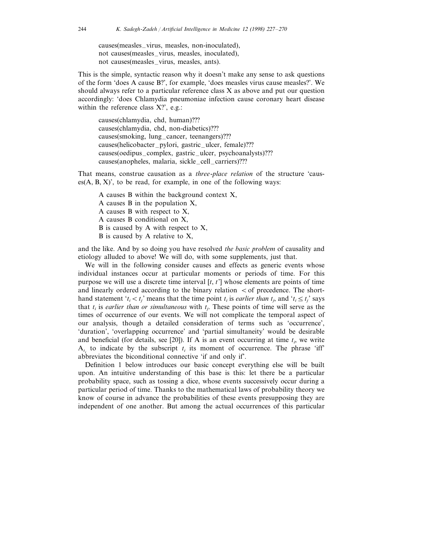causes(measles–virus, measles, non-inoculated), not causes(measles–virus, measles, inoculated), not causes(measles–virus, measles, ants).

This is the simple, syntactic reason why it doesn't make any sense to ask questions of the form 'does A cause B?', for example, 'does measles virus cause measles?'. We should always refer to a particular reference class  $X$  as above and put our question accordingly: 'does Chlamydia pneumoniae infection cause coronary heart disease within the reference class  $X$ ?', e.g.:

causes(chlamydia, chd, human)??? causes(chlamydia, chd, non-diabetics)??? causes(smoking, lung–cancer, teenangers)??? causes(helicobacter–pylori, gastric–ulcer, female)??? causes(oedipus–complex, gastric–ulcer, psychoanalysts)??? causes(anopheles, malaria, sickle–cell–carriers)???

That means, construe causation as a *three*-*place relation* of the structure 'caus $es(A, B, X)$ , to be read, for example, in one of the following ways:

- A causes B within the background context X,
- A causes B in the population X,
- A causes B with respect to X,
- A causes B conditional on X,
- B is caused by A with respect to  $X$ ,
- B is caused by A relative to X,

and the like. And by so doing you have resolved *the basic problem* of causality and etiology alluded to above! We will do, with some supplements, just that.

We will in the following consider causes and effects as generic events whose individual instances occur at particular moments or periods of time. For this purpose we will use a discrete time interval [*t*, *t*'] whose elements are points of time and linearly ordered according to the binary relation  $\lt$  of precedence. The shorthand statement ' $t_i < t_j$ ' means that the time point  $t_i$  is *earlier than*  $t_j$ , and ' $t_i \le t_j$ ' says that  $t_i$  is *earlier than or simultaneous* with  $t_j$ . These points of time will serve as the times of occurrence of our events. We will not complicate the temporal aspect of our analysis, though a detailed consideration of terms such as 'occurrence', 'duration', 'overlapping occurrence' and 'partial simultaneity' would be desirable and beneficial (for details, see [20]). If A is an event occurring at time  $t_i$ , we write  $A_{t_i}$  to indicate by the subscript  $t_i$  its moment of occurrence. The phrase 'iff' abbreviates the biconditional connective 'if and only if'.

Definition 1 below introduces our basic concept everything else will be built upon. An intuitive understanding of this base is this: let there be a particular probability space, such as tossing a dice, whose events successively occur during a particular period of time. Thanks to the mathematical laws of probability theory we know of course in advance the probabilities of these events presupposing they are independent of one another. But among the actual occurrences of this particular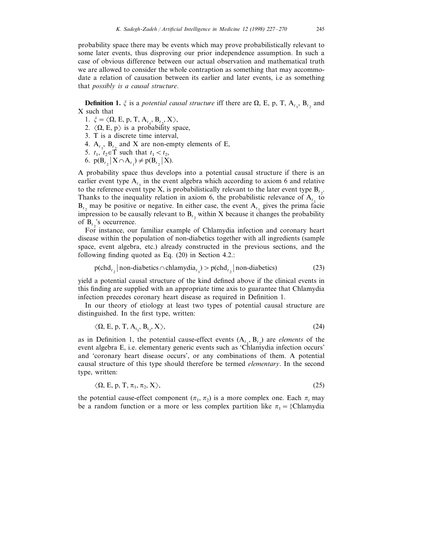probability space there may be events which may prove probabilistically relevant to some later events, thus disproving our prior independence assumption. In such a case of obvious difference between our actual observation and mathematical truth we are allowed to consider the whole contraption as something that may accommodate a relation of causation between its earlier and later events, i.e as something that *possibly is a causal structure*.

**Definition 1.**  $\xi$  is a *potential causal structure* iff there are  $\Omega$ , E, p, T,  $A_{t_1}$ ,  $B_{t_2}$  and X such that

1.  $\xi = \langle \Omega, E, p, T, A_{t_1}, B_{t_2}, X \rangle$ ,

2.  $\langle \Omega, E, p \rangle$  is a probability space,

- 3. T is a discrete time interval,
- 4.  $A_{t_1}$ ,  $B_{t_2}$  and X are non-empty elements of E,
- 5.  $t_1$ ,  $t_2 \in \overline{T}$  such that  $t_1 < t_2$ ,
- 6.  $p(B_{t_2} | X \cap A_{t_1}) \neq p(B_{t_2} | X)$ .

A probability space thus develops into a potential causal structure if there is an earlier event type  $A_t$  in the event algebra which according to axiom 6 and relative to the reference event type X, is probabilistically relevant to the later event type  $B_{t_2}$ . Thanks to the inequality relation in axiom 6, the probabilistic relevance of A<sub>t</sub> 10  $B_t$  may be positive or negative. In either case, the event  $A_t$  gives the prima facie impression to be causally relevant to  $B_t$ , within X because it changes the probability of  $B_{t_2}$ 's occurrence.

For instance, our familiar example of Chlamydia infection and coronary heart disease within the population of non-diabetics together with all ingredients (sample space, event algebra, etc.) already constructed in the previous sections, and the following finding quoted as Eq. (20) in Section 4.2.:

$$
p(\text{chd}_{t_2} | \text{non-diabetics} \cap \text{chlamydia}_{t_1}) > p(\text{chd}_{t_2} | \text{non-diabetics})
$$
\n(23)

yield a potential causal structure of the kind defined above if the clinical events in this finding are supplied with an appropriate time axis to guarantee that Chlamydia infection precedes coronary heart disease as required in Definition 1.

In our theory of etiology at least two types of potential causal structure are distinguished. In the first type, written:

$$
\langle \Omega, E, p, T, A_{t_1}, B_{t_2}, X \rangle, \tag{24}
$$

as in Definition 1, the potential cause-effect events  $(A_{t_1}, B_{t_2})$  are *elements* of the event algebra E, i.e. elementary generic events such as 'Chlamydia infection occurs' and 'coronary heart disease occurs', or any combinations of them. A potential causal structure of this type should therefore be termed *elementary*. In the second type, written:

$$
\langle \Omega, E, p, T, \pi_1, \pi_2, X \rangle, \tag{25}
$$

the potential cause-effect component  $(\pi_1, \pi_2)$  is a more complex one. Each  $\pi_i$  may be a random function or a more or less complex partition like  $\pi_1 =$ {Chlamydia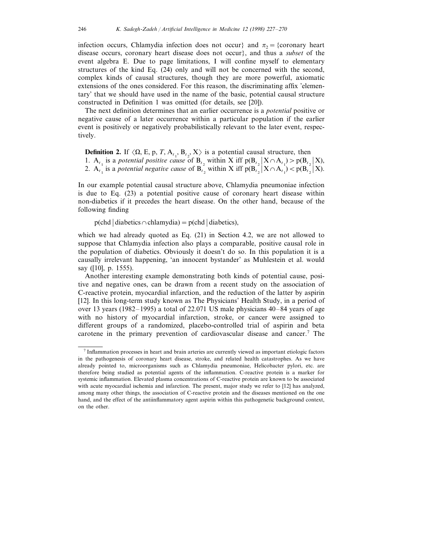infection occurs, Chlamydia infection does not occur} and  $\pi$ <sub>2</sub> = {coronary heart disease occurs, coronary heart disease does not occur}, and thus a *subset* of the event algebra E. Due to page limitations, I will confine myself to elementary structures of the kind Eq. (24) only and will not be concerned with the second, complex kinds of causal structures, though they are more powerful, axiomatic extensions of the ones considered. For this reason, the discriminating affix 'elementary' that we should have used in the name of the basic, potential causal structure constructed in Definition 1 was omitted (for details, see [20]).

The next definition determines that an earlier occurrence is a *potential* positive or negative cause of a later occurrence within a particular population if the earlier event is positively or negatively probabilistically relevant to the later event, respectively.

**Definition 2.** If  $\langle \Omega, E, p, T, A_{t_1}, B_{t_2}, X \rangle$  is a potential causal structure, then 1.  $A_{t_1}$  is a *potential positive cause* of  $B_{t_2}$  within X iff  $p(B_{t_2} | X \cap A_{t_1}) > p(B_{t_2} | X)$ , 2.  $A_{t_1}$  is a *potential negative cause* of  $B_{t_2}$  within X iff  $p(B_{t_2} | X \cap A_{t_1}) < p(B_{t_2} | X)$ .

In our example potential causal structure above, Chlamydia pneumoniae infection is due to Eq. (23) a potential positive cause of coronary heart disease within non-diabetics if it precedes the heart disease. On the other hand, because of the following finding

 $p(chd | diabetics \cap chlamydia) = p(chd | diabetics),$ 

which we had already quoted as Eq. (21) in Section 4.2, we are not allowed to suppose that Chlamydia infection also plays a comparable, positive causal role in the population of diabetics. Obviously it doesn't do so. In this population it is a causally irrelevant happening, 'an innocent bystander' as Muhlestein et al. would say ([10], p. 1555).

Another interesting example demonstrating both kinds of potential cause, positive and negative ones, can be drawn from a recent study on the association of C-reactive protein, myocardial infarction, and the reduction of the latter by aspirin [12]. In this long-term study known as The Physicians' Health Study, in a period of over 13 years (1982–1995) a total of 22.071 US male physicians 40–84 years of age with no history of myocardial infarction, stroke, or cancer were assigned to different groups of a randomized, placebo-controlled trial of aspirin and beta carotene in the primary prevention of cardiovascular disease and cancer.7 The

<sup>7</sup> Inflammation processes in heart and brain arteries are currently viewed as important etiologic factors in the pathogenesis of coronary heart disease, stroke, and related health catastrophes. As we have already pointed to, microorganisms such as Chlamydia pneumoniae, Helicobacter pylori, etc. are therefore being studied as potential agents of the inflammation. C-reactive protein is a marker for systemic inflammation. Elevated plasma concentrations of C-reactive protein are known to be associated with acute myocardial ischemia and infarction. The present, major study we refer to [12] has analyzed, among many other things, the association of C-reactive protein and the diseases mentioned on the one hand, and the effect of the antiinflammatory agent aspirin within this pathogenetic background context, on the other.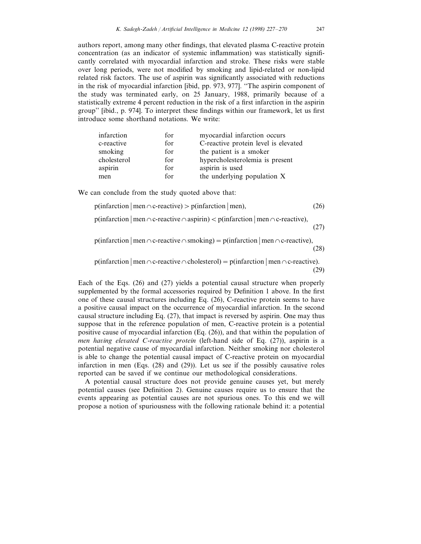authors report, among many other findings, that elevated plasma C-reactive protein concentration (as an indicator of systemic inflammation) was statistically significantly correlated with myocardial infarction and stroke. These risks were stable over long periods, were not modified by smoking and lipid-related or non-lipid related risk factors. The use of aspirin was significantly associated with reductions in the risk of myocardial infarction [ibid, pp. 973, 977]. ''The aspirin component of the study was terminated early, on 25 January, 1988, primarily because of a statistically extreme 4 percent reduction in the risk of a first infarction in the aspirin group'' [ibid., p. 974]. To interpret these findings within our framework, let us first introduce some shorthand notations. We write:

| infarction  | for | myocardial infarction occurs         |  |
|-------------|-----|--------------------------------------|--|
| c-reactive  | for | C-reactive protein level is elevated |  |
| smoking     | for | the patient is a smoker              |  |
| cholesterol | for | hypercholesterolemia is present      |  |
| aspirin     | for | aspirin is used                      |  |
| men         | for | the underlying population X          |  |
|             |     |                                      |  |

We can conclude from the study quoted above that:

 $p(\text{infarction} \mid \text{men} \cap \text{c-reactive}) > p(\text{infarction} \mid \text{men}),$  (26)

p(infarction | men  $\cap$  c-reactive  $\cap$  aspirin)  $\lt$  p(infarction | men  $\cap$  c-reactive),

(27)

 $p(\text{infarction} \mid \text{men} \cap \text{c-reactive} \cap \text{smoking}) = p(\text{infarction} \mid \text{men} \cap \text{c-reactive})$ , (28)

 $p(\text{infarction} \mid \text{men} \cap \text{c-reactive} \cap \text{cholesterol}) = p(\text{infarction} \mid \text{men} \cap \text{c-reactive}).$ (29)

Each of the Eqs. (26) and (27) yields a potential causal structure when properly supplemented by the formal accessories required by Definition 1 above. In the first one of these causal structures including Eq. (26), C-reactive protein seems to have a positive causal impact on the occurrence of myocardial infarction. In the second causal structure including Eq. (27), that impact is reversed by aspirin. One may thus suppose that in the reference population of men, C-reactive protein is a potential positive cause of myocardial infarction (Eq. (26)), and that within the population of *men having elevated C-reactive protein* (left-hand side of Eq. (27)), aspirin is a potential negative cause of myocardial infarction. Neither smoking nor cholesterol is able to change the potential causal impact of C-reactive protein on myocardial infarction in men (Eqs. (28) and (29)). Let us see if the possibly causative roles reported can be saved if we continue our methodological considerations.

A potential causal structure does not provide genuine causes yet, but merely potential causes (see Definition 2). Genuine causes require us to ensure that the events appearing as potential causes are not spurious ones. To this end we will propose a notion of spuriousness with the following rationale behind it: a potential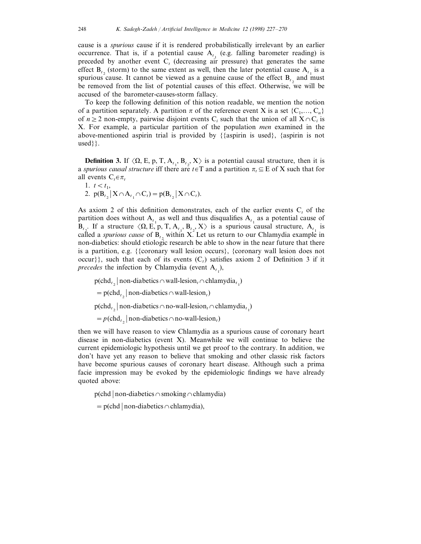cause is a *spurious* cause if it is rendered probabilistically irrelevant by an earlier occurrence. That is, if a potential cause  $A_t$  (e.g. falling barometer reading) is preceded by another event  $C<sub>t</sub>$  (decreasing air pressure) that generates the same effect  $B_t$  (storm) to the same extent as well, then the later potential cause  $A_t$  is a spurious cause. It cannot be viewed as a genuine cause of the effect  $B_t$  and must be removed from the list of potential causes of this effect. Otherwise, we will be accused of the barometer-causes-storm fallacy.

To keep the following definition of this notion readable, we mention the notion of a partition separately. A partition  $\pi$  of the reference event X is a set  $\{C_1, \ldots, C_n\}$ of  $n \geq 2$  non-empty, pairwise disjoint events C<sub>i</sub> such that the union of all  $X \cap C_i$  is X. For example, a particular partition of the population *men* examined in the above-mentioned aspirin trial is provided by {{aspirin is used}, {aspirin is not used}}.

**Definition 3.** If  $\langle \Omega, E, p, T, A_{t_1}, B_{t_2}, X \rangle$  is a potential causal structure, then it is a *spurious causal structure* iff there are  $t \in T$  and a partition  $\pi_t \subseteq E$  of X such that for all events  $C_{\tau} \in \pi$ ,

1.  $t < t_1$ , 2.  $p(B_{t_2} | X \cap A_{t_1} \cap C_t) = p(B_{t_2} | X \cap C_t)$ .

As axiom 2 of this definition demonstrates, each of the earlier events  $C<sub>t</sub>$  of the partition does without  $A_{t_1}$  as well and thus disqualifies  $A_{t_1}$  as a potential cause of  $B_{t_2}$ . If a structure  $\langle \Omega, E, p, T, A_{t_1}, B_{t_2}, X \rangle$  is a spurious causal structure,  $A_{t_1}$  is called a *spurious cause* of  $B_{t_2}$  within X. Let us return to our Chlamydia example in non-diabetics: should etiologic research be able to show in the near future that there is a partition, e.g. {{coronary wall lesion occurs}, {coronary wall lesion does not occur}}, such that each of its events  $(C<sub>i</sub>)$  satisfies axiom 2 of Definition 3 if it *precedes* the infection by Chlamydia (event  $A_{t_1}$ ),

 $p(\text{chd}_{t_2} | \text{non-diabetics} \cap \text{wall-lesion}_{t} \cap \text{chlamydia}_{t_1})$  $=$  p(chd<sub>t<sub>2</sub></sub> | non-diabetics  $\cap$  wall-lesion<sub>t</sub>)  $p(\text{chd}_{t_2} | \text{non-diabetics} \cap \text{no-wall-lesion}_{t} \cap \text{chlamydia}_{t_1})$  $= p(\text{chd}_{t_2} | \text{non-diabetics} \cap \text{no-wall-lesion}_t)$ 

then we will have reason to view Chlamydia as a spurious cause of coronary heart disease in non-diabetics (event X). Meanwhile we will continue to believe the current epidemiologic hypothesis until we get proof to the contrary. In addition, we don't have yet any reason to believe that smoking and other classic risk factors have become spurious causes of coronary heart disease. Although such a prima facie impression may be evoked by the epidemiologic findings we have already quoted above:

 $p(chd | non-diabetics \cap smoking \cap chlamydia)$ 

 $=$  p(chd | non-diabetics  $\cap$  chlamydia),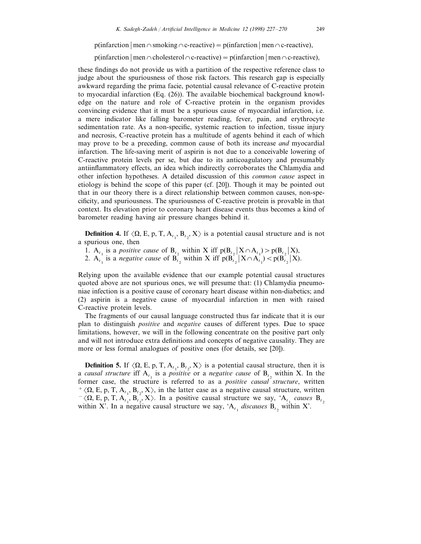$p(\text{infarction} \mid \text{men} \cap \text{smoking} \cap c\text{-reactive}) = p(\text{infarction} \mid \text{men} \cap c\text{-reactive}),$ 

 $p(\text{infarction} \mid \text{men} \cap \text{cholesterol} \cap \text{c-reactive}) = p(\text{infarction} \mid \text{men} \cap \text{c-reactive}),$ 

these findings do not provide us with a partition of the respective reference class to judge about the spuriousness of those risk factors. This research gap is especially awkward regarding the prima facie, potential causal relevance of C-reactive protein to myocardial infarction (Eq. (26)). The available biochemical background knowledge on the nature and role of C-reactive protein in the organism provides convincing evidence that it must be a spurious cause of myocardial infarction, i.e. a mere indicator like falling barometer reading, fever, pain, and erythrocyte sedimentation rate. As a non-specific, systemic reaction to infection, tissue injury and necrosis, C-reactive protein has a multitude of agents behind it each of which may prove to be a preceding, common cause of both its increase *and* myocardial infarction. The life-saving merit of aspirin is not due to a conceivable lowering of C-reactive protein levels per se, but due to its anticoagulatory and presumably antiinflammatory effects, an idea which indirectly corroborates the Chlamydia and other infection hypotheses. A detailed discussion of this *common cause* aspect in etiology is behind the scope of this paper (cf. [20]). Though it may be pointed out that in our theory there is a direct relationship between common causes, non-specificity, and spuriousness. The spuriousness of C-reactive protein is provable in that context. Its elevation prior to coronary heart disease events thus becomes a kind of barometer reading having air pressure changes behind it.

**Definition 4.** If  $\langle \Omega, E, p, T, A_{t_1}, B_{t_2}, X \rangle$  is a potential causal structure and is not a spurious one, then

- 1.  $A_{t_1}$  is a *positive cause* of  $B_{t_2}$  within X iff  $p(B_{t_2} | X \cap A_{t_1}) > p(B_{t_2} | X)$ ,
- 2.  $A_{t_1}$  is a *negative cause* of  $B_{t_2}$  within X iff  $p(B_{t_2} | X \cap A_{t_1}) < p(B_{t_2} | X)$ .

Relying upon the available evidence that our example potential causal structures quoted above are not spurious ones, we will presume that: (1) Chlamydia pneumoniae infection is a positive cause of coronary heart disease within non-diabetics; and (2) aspirin is a negative cause of myocardial infarction in men with raised C-reactive protein levels.

The fragments of our causal language constructed thus far indicate that it is our plan to distinguish *positive* and *negative* causes of different types. Due to space limitations, however, we will in the following concentrate on the positive part only and will not introduce extra definitions and concepts of negative causality. They are more or less formal analogues of positive ones (for details, see [20]).

**Definition 5.** If  $\langle \Omega, E, p, T, A_{t_1}, B_{t_2}, X \rangle$  is a potential causal structure, then it is a *causal structure* iff  $A_{t_1}$  is a *positive* or a *negative cause* of  $B_{t_2}$  within X. In the former case, the structure is referred to as a *positive causal structure*, written <sup>+</sup>  $\langle \Omega, E, p, T, A_{t_1}, B_{t_2}, X \rangle$ , in the latter case as a negative causal structure, written  $-\langle \Omega, E, p, T, A_{t_1}, B_{t_2}, X \rangle$ . In a positive causal structure we say, 'A<sub>t<sub>1</sub></sub> causes B<sub>t<sub>2</sub></sub> within X'. In a negative causal structure we say, ' $A_{t_1}$  *discauses*  $B_{t_2}$  within X'.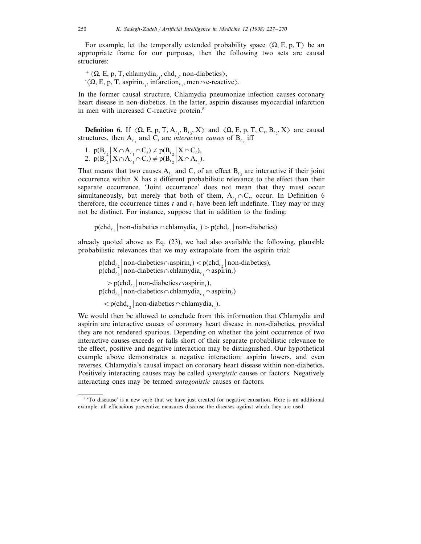For example, let the temporally extended probability space  $\langle \Omega, E, p, T \rangle$  be an appropriate frame for our purposes, then the following two sets are causal structures:

 $^+\langle \Omega, E, p, T, chlamydia_{t_1}, chd_{t_2}, non-diabetics \rangle,$  $\langle \Omega, E, p, T, \text{aspirin}_{t_1}, \text{infarction}_{t_2}, \text{men}\cap \text{c-reactive} \rangle.$ 

In the former causal structure, Chlamydia pneumoniae infection causes coronary heart disease in non-diabetics. In the latter, aspirin discauses myocardial infarction in men with increased C-reactive protein.<sup>8</sup>

**Definition 6.** If  $\langle \Omega, E, p, T, A_{t_1}, B_{t_2}, X \rangle$  and  $\langle \Omega, E, p, T, C_t, B_{t_2}, X \rangle$  are causal structures, then  $A_{t_1}$  and  $C_t$  are *interactive causes* of  $B_{t_2}$  iff

1. 
$$
p(B_{t_2} | X \cap A_{t_1} \cap C_t) \neq p(B_{t_2} | X \cap C_t)
$$
,  
2.  $p(B_{t_2} | X \cap A_{t_1} \cap C_t) \neq p(B_{t_2} | X \cap A_{t_1})$ .

That means that two causes  $A_t$ , and  $C_t$  of an effect  $B_t$ , are interactive if their joint occurrence within X has a different probabilistic relevance to the effect than their separate occurrence. 'Joint occurrence' does not mean that they must occur simultaneously, but merely that both of them,  $A_{t_1} \cap C_t$ , occur. In Definition 6 therefore, the occurrence times  $t$  and  $t_1$  have been left indefinite. They may or may not be distinct. For instance, suppose that in addition to the finding:

 $p(\text{chd}_{t_2} | \text{non-diabetics} \cap \text{chlamydia}_{t_1}) > p(\text{chd}_{t_2} | \text{non-diabetics})$ 

already quoted above as Eq. (23), we had also available the following, plausible probabilistic relevances that we may extrapolate from the aspirin trial:

 $p(\text{chd}_{t_2} \mid \text{non-diabetics} \cap \text{aspirin}_t) < p(\text{chd}_{t_2} \mid \text{non-diabetics}),$  $p(\text{chd}_{t_2} \mid \text{non-diabetics} \cap \text{chlamydia}_{t_1} \cap \text{aspirin}_t)$  $> p(\text{chd}_{t_2} \mid \text{non-diabetics} \cap \text{aspirin}_t),$  $p(\text{chd}_{t_2} | \text{non-diabetics} \cap \text{chlamydia}_{t_1} \cap \text{aspirin}_t)$ 

 $\langle \text{p}(\text{chd}_{t_2} \mid \text{non-diabetics} \cap \text{chlamydia}_{t_1}).$ 

We would then be allowed to conclude from this information that Chlamydia and aspirin are interactive causes of coronary heart disease in non-diabetics, provided they are not rendered spurious. Depending on whether the joint occurrence of two interactive causes exceeds or falls short of their separate probabilistic relevance to the effect, positive and negative interaction may be distinguished. Our hypothetical example above demonstrates a negative interaction: aspirin lowers, and even reverses, Chlamydia's causal impact on coronary heart disease within non-diabetics. Positively interacting causes may be called *synergistic* causes or factors. Negatively interacting ones may be termed *antagonistic* causes or factors.

<sup>8</sup> 'To discause' is a new verb that we have just created for negative causation. Here is an additional example: all efficacious preventive measures discause the diseases against which they are used.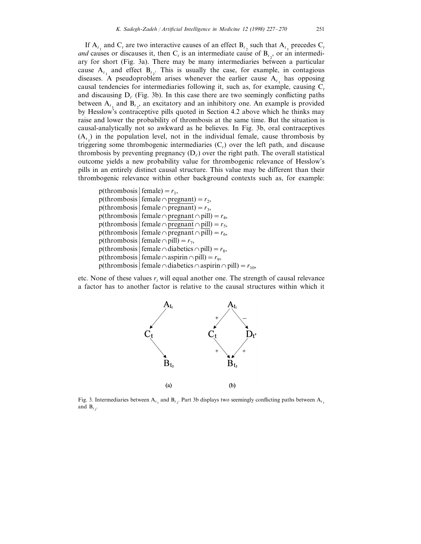If  $A_t$  and  $C_t$  are two interactive causes of an effect  $B_t$  such that  $A_t$  precedes  $C_t$ *and* causes or discauses it, then  $C_t$  is an intermediate cause of  $B_{t_2}$ , or an intermediary for short (Fig. 3a). There may be many intermediaries between a particular cause  $A_{t_1}$  and effect  $B_{t_2}$ . This is usually the case, for example, in contagious diseases. A pseudoproblem arises whenever the earlier cause  $A_t$ , has opposing causal tendencies for intermediaries following it, such as, for example, causing C<sub>t</sub> and discausing  $D_f$  (Fig. 3b). In this case there are two seemingly conflicting paths between  $A_{t_1}$  and  $B_{t_2}$ , an excitatory and an inhibitory one. An example is provided by Hesslow's contraceptive pills quoted in Section 4.2 above which he thinks may raise and lower the probability of thrombosis at the same time. But the situation is causal-analytically not so awkward as he believes. In Fig. 3b, oral contraceptives  $(A_{t_1})$  in the population level, not in the individual female, cause thrombosis by triggering some thrombogenic intermediaries  $(C_t)$  over the left path, and discause thrombosis by preventing pregnancy  $(D_t)$  over the right path. The overall statistical outcome yields a new probability value for thrombogenic relevance of Hesslow's pills in an entirely distinct causal structure. This value may be different than their thrombogenic relevance within other background contexts such as, for example:

 $p$ (thrombosis  $|$  female) =  $r_1$ , p(thrombosis  $\vert$  female  $\cap$  pregnant) =  $r_2$ , p(thrombosis  $\vert$  female  $\cap$  pregnant) =  $r_3$ , p(thrombosis | female  $\cap$  pregnant  $\cap$  pill) =  $r_4$ , p(thrombosis  $|$  female  $\cap$  pregnant  $\cap$  pill) =  $r_5$ , p(thrombosis  $\vert$  female  $\cap$  pregnant  $\cap$  pill) =  $r_6$ , p(thrombosis  $\vert$  female  $\cap$  pill) =  $r_7$ , p(thrombosis  $|$  female  $\cap$  diabetics  $\cap$  pill) =  $r_8$ , p(thrombosis | female  $\cap$  aspirin  $\cap$  pill) =  $r_9$ , p(thrombosis female  $\cap$  diabetics  $\cap$  aspirin  $\cap$  pill) =  $r_{10}$ ,

etc. None of these values  $r_i$  will equal another one. The strength of causal relevance a factor has to another factor is relative to the causal structures within which it



Fig. 3. Intermediaries between  $A_{t_1}$  and  $B_{t_2}$ . Part 3b displays two seemingly conflicting paths between  $A_{t_1}$ and  $B_{t_2}$ .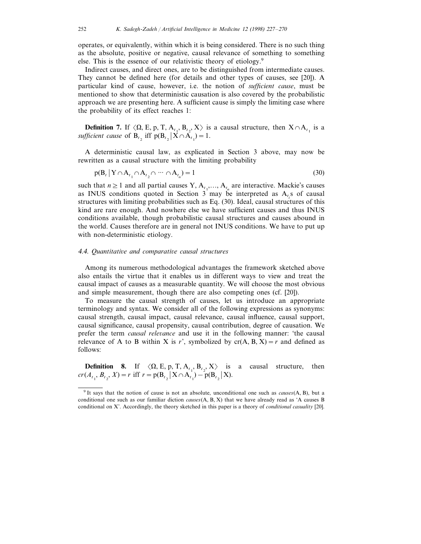operates, or equivalently, within which it is being considered. There is no such thing as the absolute, positive or negative, causal relevance of something to something else. This is the essence of our relativistic theory of etiology.<sup>9</sup>

Indirect causes, and direct ones, are to be distinguished from intermediate causes. They cannot be defined here (for details and other types of causes, see [20]). A particular kind of cause, however, i.e. the notion of *sufficient cause*, must be mentioned to show that deterministic causation is also covered by the probabilistic approach we are presenting here. A sufficient cause is simply the limiting case where the probability of its effect reaches 1:

**Definition 7.** If  $\langle \Omega, E, p, T, A_{t_1}, B_{t_2}, X \rangle$  is a causal structure, then  $X \cap A_{t_1}$  is a sufficient cause of  $B_{t_2}$  iff  $p(B_{t_2} | \mathbf{X} \cap A_{t_1}) = 1$ .

A deterministic causal law, as explicated in Section 3 above, may now be rewritten as a causal structure with the limiting probability

 $p(B_t | Y \cap A_{t_1} \cap A_{t_2} \cap \cdots \cap A_{t_n})$  $) = 1$  (30)

such that  $n \ge 1$  and all partial causes Y,  $A_{t_1},..., A_{t_n}$  are interactive. Mackie's causes as INUS conditions quoted in Section 3 may be interpreted as  $A_{t_i}$  of causal structures with limiting probabilities such as Eq. (30). Ideal, causal structures of this kind are rare enough. And nowhere else we have sufficient causes and thus INUS conditions available, though probabilistic causal structures and causes abound in the world. Causes therefore are in general not INUS conditions. We have to put up with non-deterministic etiology.

#### 4.4. *Quantitati*6*e and comparati*6*e causal structures*

Among its numerous methodological advantages the framework sketched above also entails the virtue that it enables us in different ways to view and treat the causal impact of causes as a measurable quantity. We will choose the most obvious and simple measurement, though there are also competing ones (cf. [20]).

To measure the causal strength of causes, let us introduce an appropriate terminology and syntax. We consider all of the following expressions as synonyms: causal strength, causal impact, causal relevance, causal influence, causal support, causal significance, causal propensity, causal contribution, degree of causation. We prefer the term *causal relevance* and use it in the following manner: 'the causal relevance of A to B within X is *r*', symbolized by  $cr(A, B, X) = r$  and defined as follows:

**Definition 8.** If  $\langle \Omega, E, p, T, A_{t_1}, B_{t_2}, X \rangle$  is a causal structure, then  $cr(A_{t_1}, B_{t_2}, X) = r \text{ iff } r = p(B_{t_2} | X \cap A_{t_1}) - p(B_{t_2} | X).$ 

<sup>9</sup> It says that the notion of cause is not an absolute, unconditional one such as *causes*(A, B), but a conditional one such as our familiar diction *causes*(A, B, X) that we have already read as 'A causes B conditional on X'. Accordingly, the theory sketched in this paper is a theory of *conditional casuality* [20].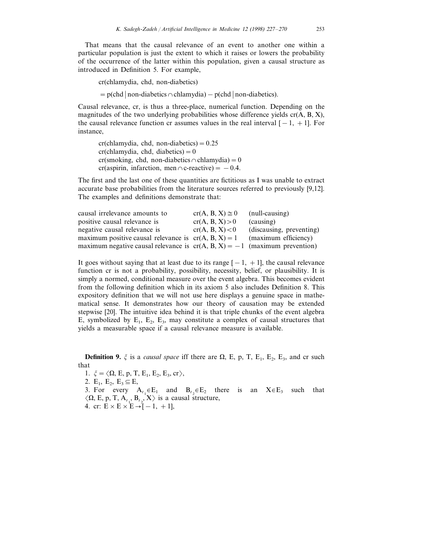That means that the causal relevance of an event to another one within a particular population is just the extent to which it raises or lowers the probability of the occurrence of the latter within this population, given a causal structure as introduced in Definition 5. For example,

cr(chlamydia, chd, non-diabetics)

= p(chd | non-diabetics ∩ chlamydia) – p(chd | non-diabetics).

Causal relevance, cr, is thus a three-place, numerical function. Depending on the magnitudes of the two underlying probabilities whose difference yields  $cr(A, B, X)$ , the causal relevance function cr assumes values in the real interval  $[-1, +1]$ . For instance,

 $cr($ chlamydia, chd, non-diabetics $)=0.25$  $cr($ chlamydia, chd, diabetics $)=0$ cr(smoking, chd, non-diabetics $\cap$ chlamydia) = 0 cr(aspirin, infarction, men $\cap$ c-reactive) = -0.4.

The first and the last one of these quantities are fictitious as I was unable to extract accurate base probabilities from the literature sources referred to previously [9,12]. The examples and definitions demonstrate that:

| causal irrelevance amounts to                                                | $cr(A, B, X) \cong 0$ | $\text{(null-causing)}$  |
|------------------------------------------------------------------------------|-----------------------|--------------------------|
| positive causal relevance is                                                 | cr(A, B, X) > 0       | (causing)                |
| negative causal relevance is                                                 | cr(A, B, X) < 0       | (discausing, preventing) |
| maximum positive causal relevance is $cr(A, B, X) = 1$                       |                       | (maximum efficiency)     |
| maximum negative causal relevance is $cr(A, B, X) = -1$ (maximum prevention) |                       |                          |

It goes without saying that at least due to its range  $[-1, +1]$ , the causal relevance function cr is not a probability, possibility, necessity, belief, or plausibility. It is simply a normed, conditional measure over the event algebra. This becomes evident from the following definition which in its axiom 5 also includes Definition 8. This expository definition that we will not use here displays a genuine space in mathematical sense. It demonstrates how our theory of causation may be extended stepwise [20]. The intuitive idea behind it is that triple chunks of the event algebra E, symbolized by  $E_1$ ,  $E_2$ ,  $E_3$ , may constitute a complex of causal structures that yields a measurable space if a causal relevance measure is available.

**Definition 9.**  $\xi$  is a *causal space* iff there are  $\Omega$ , E, p, T, E<sub>1</sub>, E<sub>2</sub>, E<sub>3</sub>, and cr such that

1.  $\xi = \langle \Omega, E, p, T, E_1, E_2, E_3, cr \rangle$ , 2. E<sub>1</sub>, E<sub>2</sub>, E<sub>3</sub> $\subseteq$  E<sub>3</sub> 3. For every  $A_{t_1} \in E_1$  and  $B_{t_2} \in E_2$  there is an  $X \in E_3$  such that  $\langle \Omega, E, p, T, A_{t_1}, B_{t_2}, X \rangle$  is a causal structure, 4. cr:  $E \times E \times E \rightarrow [-1, +1],$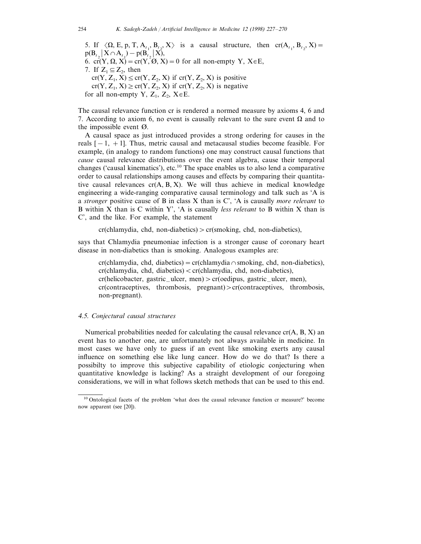5. If  $\langle \Omega, E, p, T, A_{t_1}, B_{t_2}, X \rangle$  is a causal structure, then  $cr(A_{t_1}, B_{t_2}, X) =$  $p(B_{t_2} | X \cap A_{t_1}) - p(B_{t_2} | X),$ 6. cr(Y,  $\Omega$ , X) = cr(Y,  $\emptyset$ , X) = 0 for all non-empty Y, X $\in$ E, 7. If  $Z_1 \subseteq Z_2$ , then  $cr(Y, Z_1, X) \leq cr(Y, Z_2, X)$  if  $cr(Y, Z_2, X)$  is positive  $cr(Y, Z_1, X) \geq cr(Y, Z_2, X)$  if  $cr(Y, Z_2, X)$  is negative for all non-empty Y,  $Z_1$ ,  $Z_2$ ,  $X \in E$ .

The causal relevance function cr is rendered a normed measure by axioms 4, 6 and 7. According to axiom 6, no event is causally relevant to the sure event  $\Omega$  and to the impossible event Ø.

A causal space as just introduced provides a strong ordering for causes in the reals  $[-1, +1]$ . Thus, metric causal and metacausal studies become feasible. For example, (in analogy to random functions) one may construct causal functions that *cause* causal relevance distributions over the event algebra, cause their temporal changes ('causal kinematics'), etc.10 The space enables us to also lend a comparative order to causal relationships among causes and effects by comparing their quantitative causal relevances  $cr(A, B, X)$ . We will thus achieve in medical knowledge engineering a wide-ranging comparative causal terminology and talk such as 'A is a *stronger* positive cause of B in class X than is C', 'A is causally *more rele*6*ant* to B within X than is C within Y', 'A is causally *less rele*6*ant* to B within X than is C', and the like. For example, the statement

 $cr($ chlamydia, chd, non-diabetics) $> cr(moking, chd, non-diabetics)$ ,

says that Chlamydia pneumoniae infection is a stronger cause of coronary heart disease in non-diabetics than is smoking. Analogous examples are:

 $cr(chlamydia, chd, diabetics) = cr(chlamydia \cap smoking, chd, non-diabetics),$  $cr($ chlamydia, chd, diabetics)  $<$   $cr($ chlamydia, chd, non-diabetics),  $cr(helicobacter, gastric_{ulcer, men})\ge cr(oedipus, gastric_{ulcer, men}),$  $cr(contraceptives, thrombosis, pregnant) \ge cr(contraceptives, thrombosis,$ non-pregnant).

#### 4.5. *Conjectural causal structures*

Numerical probabilities needed for calculating the causal relevance  $cr(A, B, X)$  an event has to another one, are unfortunately not always available in medicine. In most cases we have only to guess if an event like smoking exerts any causal influence on something else like lung cancer. How do we do that? Is there a possibilty to improve this subjective capability of etiologic conjecturing when quantitative knowledge is lacking? As a straight development of our foregoing considerations, we will in what follows sketch methods that can be used to this end.

<sup>&</sup>lt;sup>10</sup> Ontological facets of the problem 'what does the causal relevance function cr measure?' become now apparent (see [20]).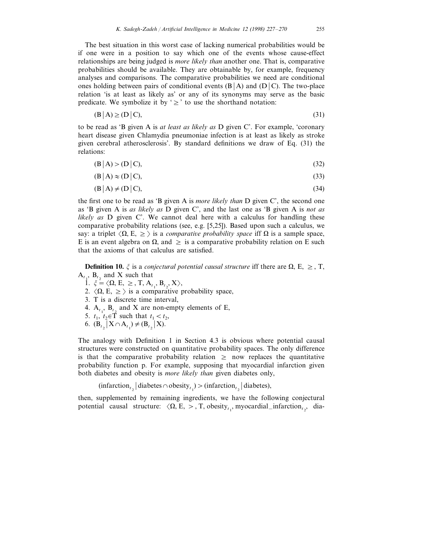The best situation in this worst case of lacking numerical probabilities would be if one were in a position to say which one of the events whose cause-effect relationships are being judged is *more likely than* another one. That is, comparative probabilities should be available. They are obtainable by, for example, frequency analyses and comparisons. The comparative probabilities we need are conditional ones holding between pairs of conditional events  $(B|A)$  and  $(D|C)$ . The two-place relation 'is at least as likely as' or any of its synonyms may serve as the basic predicate. We symbolize it by ' $\ge$ ' to use the shorthand notation:

$$
(B|A) \ge (D|C), \tag{31}
$$

to be read as 'B given A is *at least as likely as* D given C'. For example, 'coronary heart disease given Chlamydia pneumoniae infection is at least as likely as stroke given cerebral atherosclerosis'. By standard definitions we draw of Eq. (31) the relations:

$$
(B | A) > (D | C), \tag{32}
$$

$$
(B | A) \approx (D | C), \tag{33}
$$

$$
(B | A) \neq (D | C), \tag{34}
$$

the first one to be read as 'B given A is *more likely than* D given C', the second one as 'B given A is *as likely as* D given C', and the last one as 'B given A is *not as likely as* D given C'. We cannot deal here with a calculus for handling these comparative probability relations (see, e.g. [5,25]). Based upon such a calculus, we say: a triplet  $\langle \Omega, E, \ge \rangle$  is a *comparative probability space* iff  $\Omega$  is a sample space, E is an event algebra on  $\Omega$ , and  $\geq$  is a comparative probability relation on E such that the axioms of that calculus are satisfied.

**Definition 10.**  $\xi$  is a *conjectural potential causal structure* iff there are  $\Omega$ , E,  $\geq$ , T,  $A_{t_1}$ ,  $B_{t_2}$  and X such that

- 1.  $\xi = \langle \Omega, E_{1} \rangle$ , T, A<sub>t<sub>1</sub></sub>, B<sub>t<sub>2</sub></sub>, X $\rangle$ ,
- 2.  $\langle \Omega, E, \rangle$  is a comparative probability space,
- 3. T is a discrete time interval,
- 4.  $A_{t_1}$ ,  $B_{t_2}$  and X are non-empty elements of E,
- 5.  $t_1$ ,  $t_2 \in \mathring{T}$  such that  $t_1 < t_2$ ,
- 6.  $(B_{t_2} | X \cap A_{t_1}) \neq (B_{t_2} | X)$ .

The analogy with Definition 1 in Section 4.3 is obvious where potential causal structures were constructed on quantitative probability spaces. The only difference is that the comparative probability relation  $\geq$  now replaces the quantitative probability function p. For example, supposing that myocardial infarction given both diabetes and obesity is *more likely than* given diabetes only,

 $(\text{infarction}_{t_2} | \text{diabetes} \cap \text{obesity}_{t_1})$   $> (\text{infarction}_{t_2} | \text{diabetes}),$ 

then, supplemented by remaining ingredients, we have the following conjectural potential causal structure:  $\langle \Omega, E, \rangle$ , T, obesity<sub>t<sub>1</sub></sub>, myocardial infarction<sub>t<sub>2</sub></sub>, dia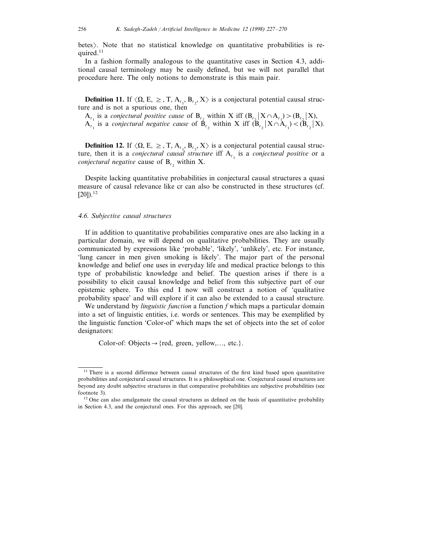betes). Note that no statistical knowledge on quantitative probabilities is required.<sup>11</sup>

In a fashion formally analogous to the quantitative cases in Section 4.3, additional causal terminology may be easily defined, but we will not parallel that procedure here. The only notions to demonstrate is this main pair.

**Definition 11.** If  $\langle \Omega, E \rangle \geq T$ ,  $A_{t_1}, B_{t_2}, X \rangle$  is a conjectural potential causal structure and is not a spurious one, then

 $A_{t_1}$  is a *conjectural positive cause* of  $B_{t_2}$  within  $X$  iff  $(B_{t_2}|X \cap A_{t_1}) > (B_{t_2}|X)$ ,

 $A_{t_1}$  is a *conjectural negative cause* of  $\bar{B}_{t_2}$  within X iff  $(B_{t_2}|X \cap A_{t_1}) < (B_{t_2}|X)$ .

**Definition 12.** If  $\langle \Omega, E \rangle \geq T$ ,  $A_{t_1}, B_{t_2}, X \rangle$  is a conjectural potential causal structure, then it is a *conjectural causal structure* iff  $A_t$ , is a *conjectural positive* or a *conjectural negative* cause of  $B_{t_2}$  within X.

Despite lacking quantitative probabilities in conjectural causal structures a quasi measure of causal relevance like cr can also be constructed in these structures (cf.  $[20]$ ).<sup>12</sup>

#### 4.6. Subjective causal structures

If in addition to quantitative probabilities comparative ones are also lacking in a particular domain, we will depend on qualitative probabilities. They are usually communicated by expressions like 'probable', 'likely', 'unlikely', etc. For instance, 'lung cancer in men given smoking is likely'. The major part of the personal knowledge and belief one uses in everyday life and medical practice belongs to this type of probabilistic knowledge and belief. The question arises if there is a possibility to elicit causal knowledge and belief from this subjective part of our epistemic sphere. To this end I now will construct a notion of 'qualitative probability space' and will explore if it can also be extended to a causal structure.

We understand by *linguistic function* a function *f* which maps a particular domain into a set of linguistic entities, i.e. words or sentences. This may be exemplified by the linguistic function 'Color-of' which maps the set of objects into the set of color designators:

Color-of: Objects  $\rightarrow$  {red, green, yellow,..., etc.}.

<sup>&</sup>lt;sup>11</sup> There is a second difference between causal structures of the first kind based upon quantitative probabilities and conjectural causal structures. It is a philosophical one. Conjectural causal structures are beyond any doubt subjective structures in that comparative probabilities are subjective probabilities (see footnote 3).

<sup>&</sup>lt;sup>12</sup> One can also amalgamate the causal structures as defined on the basis of quantitative probability in Section 4.3, and the conjectural ones. For this approach, see [20].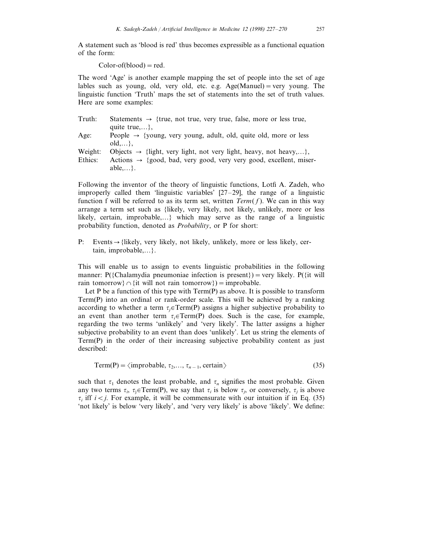A statement such as 'blood is red' thus becomes expressible as a functional equation of the form:

 $Color-of(blood) = red.$ 

The word 'Age' is another example mapping the set of people into the set of age lables such as young, old, very old, etc. e.g.  $Age(Manuel) = very young$ . The linguistic function 'Truth' maps the set of statements into the set of truth values. Here are some examples:

| Truth:  | Statements $\rightarrow$ {true, not true, very true, false, more or less true, |
|---------|--------------------------------------------------------------------------------|
|         | quite true $\}$ .                                                              |
| Age:    | People $\rightarrow$ {young, very young, adult, old, quite old, more or less   |
|         | $old$ .                                                                        |
| Weight: | Objects $\rightarrow$ {light, very light, not very light, heavy, not heavy,},  |
| Ethics: | Actions $\rightarrow$ {good, bad, very good, very very good, excellent, miser- |
|         | able $\dots$ .                                                                 |

Following the inventor of the theory of linguistic functions, Lotfi A. Zadeh, who improperly called them 'linguistic variables'  $[27-29]$ , the range of a linguistic function f will be referred to as its term set, written  $Term(f)$ . We can in this way arrange a term set such as {likely, very likely, not likely, unlikely, more or less likely, certain, improbable,…} which may serve as the range of a linguistic probability function, denoted as *Probability*, or P for short:

P: Events  $\rightarrow$  {likely, very likely, not likely, unlikely, more or less likely, certain, improbable,…}.

This will enable us to assign to events linguistic probabilities in the following manner: P({Chalamydia pneumoniae infection is present}) = very likely. P({it will rain tomorrow}  $\cap$  {it will not rain tomorrow}) = improbable.

Let P be a function of this type with Term(P) as above. It is possible to transform Term(P) into an ordinal or rank-order scale. This will be achieved by a ranking according to whether a term  $\tau_i \in \text{Term}(P)$  assigns a higher subjective probability to an event than another term  $\tau \in Term(P)$  does. Such is the case, for example, regarding the two terms 'unlikely' and 'very likely'. The latter assigns a higher subjective probability to an event than does 'unlikely'. Let us string the elements of Term(P) in the order of their increasing subjective probability content as just described:

Term(P) = 
$$
\langle \text{improbable}, \tau_2, \ldots, \tau_{n-1}, \text{certain} \rangle
$$
 (35)

such that  $\tau_1$  denotes the least probable, and  $\tau_n$  signifies the most probable. Given any two terms  $\tau_i$ ,  $\tau_j \in Term(P)$ , we say that  $\tau_i$  is below  $\tau_j$ , or conversely,  $\tau_j$  is above  $\tau_i$  iff  $i < j$ . For example, it will be commensurate with our intuition if in Eq. (35) 'not likely' is below 'very likely', and 'very very likely' is above 'likely'. We define: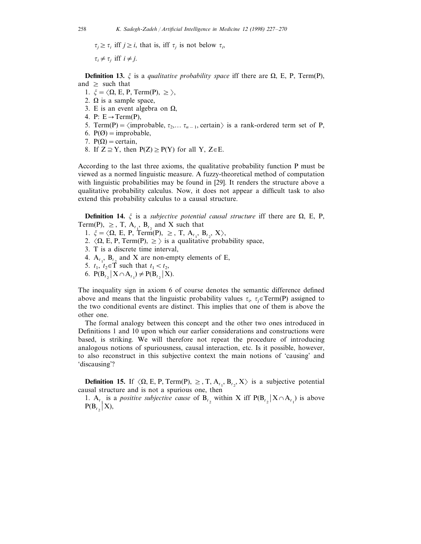$\tau_j \geq \tau_i$  iff  $j \geq i$ , that is, iff  $\tau_j$  is not below  $\tau_i$ ,

 $\tau_i \neq \tau_j$  iff  $i \neq j$ .

**Definition 13.**  $\xi$  is a *qualitative probability space* iff there are  $\Omega$ , E, P, Term(P), and  $\ge$  such that

1.  $\xi = \langle \Omega, E, P, Term(P), \ge \rangle$ ,

- 2.  $\Omega$  is a sample space,
- 3. E is an event algebra on  $\Omega$ ,
- 4. P:  $E \rightarrow Term(P)$ ,
- 5. Term(P) =  $\langle$ improbable,  $\tau_2, \ldots, \tau_{n-1}$ , certain is a rank-ordered term set of P,
- 6.  $P(\emptyset) =$  improbable,
- 7.  $P(\Omega) =$ certain,
- 8. If  $Z \supseteq Y$ , then  $P(Z) \geq P(Y)$  for all Y,  $Z \in E$ .

According to the last three axioms, the qualitative probability function P must be viewed as a normed linguistic measure. A fuzzy-theoretical method of computation with linguistic probabilities may be found in [29]. It renders the structure above a qualitative probability calculus. Now, it does not appear a difficult task to also extend this probability calculus to a causal structure.

**Definition 14.**  $\xi$  is a *subjective potential causal structure* iff there are  $\Omega$ , E, P, Term(P),  $\geq$ , T, A<sub>t<sub>1</sub></sub>, B<sub>t<sub>2</sub></sub> and X such that

1.  $\xi = \langle \Omega, E, P, \text{Term}(P), \geq, T, A_{t_1}, B_{t_2}, X \rangle,$ 

- 2.  $\langle \Omega, E, P, Term(P), \rangle$  is a qualitative probability space,
- 3. T is a discrete time interval,
- 4.  $A_{t_1}$ ,  $B_{t_2}$  and X are non-empty elements of E,
- 5.  $t_1, t_2 \in \mathring{T}$  such that  $t_1 < t_2$ ,
- 6.  $P(B_{t_2} | X \cap A_{t_1}) \neq P(B_{t_2} | X)$ .

The inequality sign in axiom 6 of course denotes the semantic difference defined above and means that the linguistic probability values  $\tau_i$ ,  $\tau_j \in Term(P)$  assigned to the two conditional events are distinct. This implies that one of them is above the other one.

The formal analogy between this concept and the other two ones introduced in Definitions 1 and 10 upon which our earlier considerations and constructions were based, is striking. We will therefore not repeat the procedure of introducing analogous notions of spuriousness, causal interaction, etc. Is it possible, however, to also reconstruct in this subjective context the main notions of 'causing' and 'discausing'?

**Definition 15.** If  $\langle \Omega, E, P, Term(P), \geq, T, A_{t_1}, B_{t_2}, X \rangle$  is a subjective potential causal structure and is not a spurious one, then

1.  $A_{t_1}$  is a *positive subjective cause* of  $B_{t_2}$  within X iff  $P(B_{t_2} | X \cap A_{t_1})$  is above  $P(B_{t_2} | X),$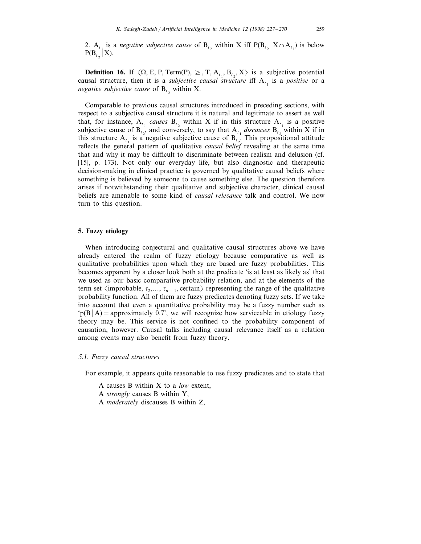2.  $A_{t_1}$  is a *negative subjective cause* of  $B_{t_2}$  within X iff  $P(B_{t_2} | X \cap A_{t_1})$  is below  $P(B_{t_2} | X)$ .

**Definition 16.** If  $\langle \Omega, E, P, Term(P), \geq, T, A_{t_1}, B_{t_2}, X \rangle$  is a subjective potential causal structure, then it is a *subjective causal structure* iff A<sub>t</sub> is a *positive* or a *negative subjective cause* of  $B_t$  within X.

Comparable to previous causal structures introduced in preceding sections, with respect to a subjective causal structure it is natural and legitimate to assert as well that, for instance,  $A_t$  *causes*  $B_t$ , within X if in this structure  $A_t$  is a positive subjective cause of  $B_{t_2}$ , and conversely, to say that  $A_{t_1}$  *discauses*  $B_{t_2}$  within X if in this structure  $A_{t_1}$  is a negative subjective cause of  $B_{t_2}$ . This propositional attitude reflects the general pattern of qualitative *causal belief* revealing at the same time that and why it may be difficult to discriminate between realism and delusion (cf. [15], p. 173). Not only our everyday life, but also diagnostic and therapeutic decision-making in clinical practice is governed by qualitative causal beliefs where something is believed by someone to cause something else. The question therefore arises if notwithstanding their qualitative and subjective character, clinical causal beliefs are amenable to some kind of *causal rele*6*ance* talk and control. We now turn to this question.

# **5. Fuzzy etiology**

When introducing conjectural and qualitative causal structures above we have already entered the realm of fuzzy etiology because comparative as well as qualitative probabilities upon which they are based are fuzzy probabilities. This becomes apparent by a closer look both at the predicate 'is at least as likely as' that we used as our basic comparative probability relation, and at the elements of the term set  $\langle$ improbable,  $\tau_2, \ldots, \tau_{n-1}$ , certain $\rangle$  representing the range of the qualitative probability function. All of them are fuzzy predicates denoting fuzzy sets. If we take into account that even a quantitative probability may be a fuzzy number such as  $p(B|A)$  = approximately 0.7', we will recognize how serviceable in etiology fuzzy theory may be. This service is not confined to the probability component of causation, however. Causal talks including causal relevance itself as a relation among events may also benefit from fuzzy theory.

#### 5.1. *Fuzzy causal structures*

For example, it appears quite reasonable to use fuzzy predicates and to state that

A causes B within X to a *low* extent, A *strongly* causes B within Y, A *moderately* discauses B within Z,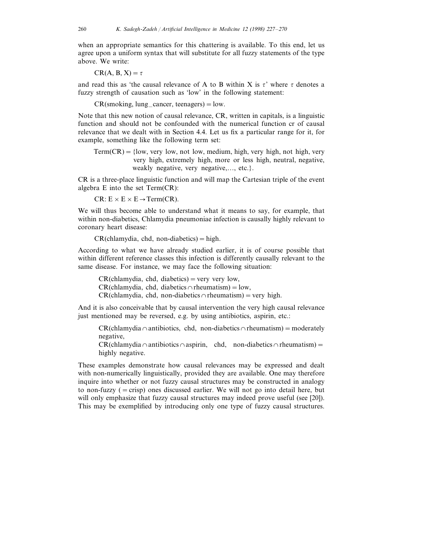when an appropriate semantics for this chattering is available. To this end, let us agree upon a uniform syntax that will substitute for all fuzzy statements of the type above. We write:

 $CR(A, B, X) = \tau$ 

and read this as 'the causal relevance of A to B within X is  $\tau$ ' where  $\tau$  denotes a fuzzy strength of causation such as 'low' in the following statement:

 $CR(smoking, lung\_cancer, teenagers)=low.$ 

Note that this new notion of causal relevance, CR, written in capitals, is a linguistic function and should not be confounded with the numerical function cr of causal relevance that we dealt with in Section 4.4. Let us fix a particular range for it, for example, something like the following term set:

 $Term(CR) =$  {low, very low, not low, medium, high, very high, not high, very very high, extremely high, more or less high, neutral, negative, weakly negative, very negative,…, etc.}.

CR is a three-place linguistic function and will map the Cartesian triple of the event algebra E into the set Term(CR):

 $CR: E \times E \times E \rightarrow Term(CR)$ .

We will thus become able to understand what it means to say, for example, that within non-diabetics, Chlamydia pneumoniae infection is causally highly relevant to coronary heart disease:

 $CR(chlamydia, chd, non-diabetics) = high.$ 

According to what we have already studied earlier, it is of course possible that within different reference classes this infection is differently causally relevant to the same disease. For instance, we may face the following situation:

 $CR(chlamydia, chd, diabetics) = very very low,$  $CR(chlamydia, chd, diabetics\cap rheumatism)=low,$  $CR(chlamydia, chd, non-diabetics \cap rheumatism) = very high.$ 

And it is also conceivable that by causal intervention the very high causal relevance just mentioned may be reversed, e.g. by using antibiotics, aspirin, etc.:

 $CR(chlamvdia\cap antibiotics, chd, non-diabetics\cap rheumatism)=moderately$ negative,

 $CR(chlamvdia \cap antibiotics \cap aspirin, chd, non-diabetics \cap rheumatism)$  = highly negative.

These examples demonstrate how causal relevances may be expressed and dealt with non-numerically linguistically, provided they are available. One may therefore inquire into whether or not fuzzy causal structures may be constructed in analogy to non-fuzzy  $( =$  crisp) ones discussed earlier. We will not go into detail here, but will only emphasize that fuzzy causal structures may indeed prove useful (see [20]). This may be exemplified by introducing only one type of fuzzy causal structures.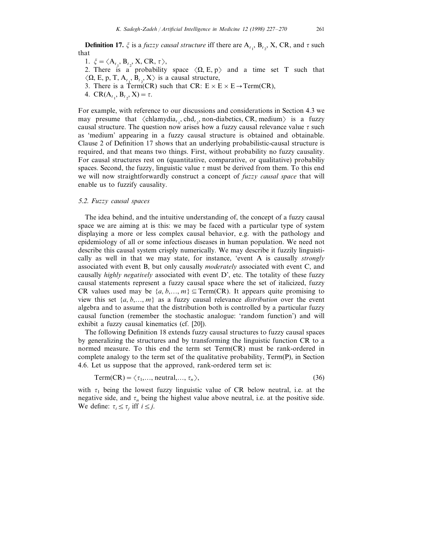**Definition 17.**  $\xi$  is a *fuzzy causal structure* iff there are  $A_{t_1}$ ,  $B_{t_2}$ , X, CR, and  $\tau$  such that

1.  $\xi = \langle A_{t_1}, B_{t_2}, X, CR, \tau \rangle$ , 2. There is a probability space  $\langle \Omega, E, p \rangle$  and a time set T such that  $\langle \Omega, E, p, T, A_{t_1}, B_{t_2}, X \rangle$  is a causal structure, 3. There is a Term(CR) such that CR:  $E \times E \times E \rightarrow Term(CR)$ , 4.  $CR(A_{t_1}, B_{t_2}, X) = \tau.$ 

For example, with reference to our discussions and considerations in Section 4.3 we may presume that  $\langle$ chlamydia<sub>t<sub>1</sub></sub>, chd<sub>t<sub>2</sub></sub>, non-diabetics, CR, medium $\rangle$  is a fuzzy causal structure. The question now arises how a fuzzy causal relevance value  $\tau$  such as 'medium' appearing in a fuzzy causal structure is obtained and obtainable. Clause 2 of Definition 17 shows that an underlying probabilistic-causal structure is required, and that means two things. First, without probability no fuzzy causality. For causal structures rest on (quantitative, comparative, or qualitative) probabiliy spaces. Second, the fuzzy, linguistic value  $\tau$  must be derived from them. To this end we will now straightforwardly construct a concept of *fuzzy causal space* that will enable us to fuzzify causality.

# 5.2. *Fuzzy causal spaces*

The idea behind, and the intuitive understanding of, the concept of a fuzzy causal space we are aiming at is this: we may be faced with a particular type of system displaying a more or less complex causal behavior, e.g. with the pathology and epidemiology of all or some infectious diseases in human population. We need not describe this causal system crisply numerically. We may describe it fuzzily linguistically as well in that we may state, for instance, 'event A is causally *strongly* associated with event B, but only causally *moderately* associated with event C, and causally *highly negatively* associated with event D', etc. The totality of these fuzzy causal statements represent a fuzzy causal space where the set of italicized, fuzzy CR values used may be  $\{a, b, \ldots, m\} \subseteq Term(CR)$ . It appears quite promising to view this set  $\{a, b, \ldots, m\}$  as a fuzzy causal relevance *distribution* over the event algebra and to assume that the distribution both is controlled by a particular fuzzy causal function (remember the stochastic analogue: 'random function') and will exhibit a fuzzy causal kinematics (cf. [20]).

The following Definition 18 extends fuzzy causal structures to fuzzy causal spaces by generalizing the structures and by transforming the linguistic function CR to a normed measure. To this end the term set Term(CR) must be rank-ordered in complete analogy to the term set of the qualitative probability, Term(P), in Section 4.6. Let us suppose that the approved, rank-ordered term set is:

Term(CR) = 
$$
\langle \tau_1, \ldots, \text{neutral}, \ldots, \tau_n \rangle
$$
, (36)

with  $\tau_1$  being the lowest fuzzy linguistic value of CR below neutral, i.e. at the negative side, and  $\tau_n$  being the highest value above neutral, i.e. at the positive side. We define:  $\tau_i \leq \tau_j$  iff  $i \leq j$ .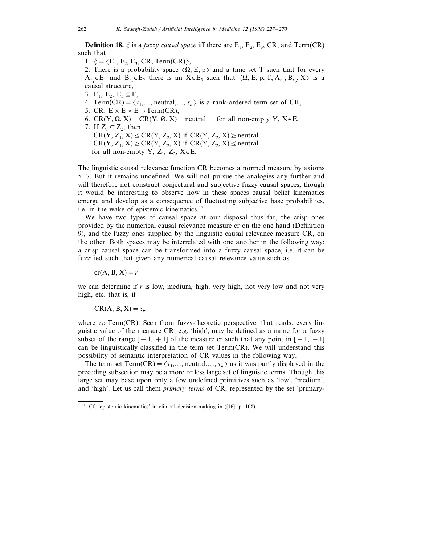**Definition 18.**  $\xi$  is a *fuzzy causal space* iff there are  $E_1$ ,  $E_2$ ,  $E_3$ , CR, and Term(CR) such that

1.  $\xi = \langle E_1, E_2, E_3, CR, Term(CR) \rangle$ ,

2. There is a probability space  $\langle \Omega, E, p \rangle$  and a time set T such that for every  $A_{t_1} \in E_1$  and  $B_{t_2} \in E_2$  there is an  $X \in E_3$  such that  $\langle \Omega, E, p, T, A_{t_1}, B_{t_2}, X \rangle$  is a causal structure,

- 3. E<sub>1</sub>, E<sub>2</sub>, E<sub>3</sub> $\subseteq$  E<sub>3</sub>
- 4. Term(CR) =  $\langle \tau_1, \ldots,$  neutral,...,  $\tau_n \rangle$  is a rank-ordered term set of CR,
- 5. CR:  $E \times E \times E \rightarrow Term(CR)$ ,
- 6. CR(Y,  $\Omega$ , X) = CR(Y, Ø, X) = neutral for all non-empty Y, X $\in$ E,
- 7. If  $Z_1 \subseteq Z_2$ , then  $CR(Y, Z_1, X) \leq CR(Y, Z_2, X)$  if  $CR(Y, Z_2, X) \geq$  neutral  $CR(Y, Z_1, X) \geq CR(Y, Z_2, X)$  if  $CR(Y, Z_2, X) \leq$  neutral for all non-empty Y,  $Z_1$ ,  $Z_2$ ,  $X \in E$ .

The linguistic causal relevance function CR becomes a normed measure by axioms 5–7. But it remains undefined. We will not pursue the analogies any further and will therefore not construct conjectural and subjective fuzzy causal spaces, though it would be interesting to observe how in these spaces causal belief kinematics emerge and develop as a consequence of fluctuating subjective base probabilities, i.e. in the wake of epistemic kinematics.13

We have two types of causal space at our disposal thus far, the crisp ones provided by the numerical causal relevance measure cr on the one hand (Definition 9), and the fuzzy ones supplied by the linguistic causal relevance measure CR, on the other. Both spaces may be interrelated with one another in the following way: a crisp causal space can be transformed into a fuzzy causal space, i.e. it can be fuzzified such that given any numerical causal relevance value such as

 $cr(A, B, X) = r$ 

we can determine if *r* is low, medium, high, very high, not very low and not very high, etc. that is, if

 $CR(A, B, X) = \tau_i$ 

where  $\tau_i \in \text{Term}(CR)$ . Seen from fuzzy-theoretic perspective, that reads: every linguistic value of the measure CR, e.g. 'high', may be defined as a name for a fuzzy subset of the range  $[-1, +1]$  of the measure cr such that any point in  $[-1, +1]$ can be linguistically classified in the term set Term(CR). We will understand this possibility of semantic interpretation of CR values in the following way.

The term set Term(CR) =  $\langle \tau_1, \ldots, \tau_n \rangle$  as it was partly displayed in the preceding subsection may be a more or less large set of linguistic terms. Though this large set may base upon only a few undefined primitives such as 'low', 'medium', and 'high'. Let us call them *primary terms* of CR, represented by the set 'primary-

<sup>13</sup> Cf. 'epistemic kinematics' in clinical decision-making in ([16], p. 108).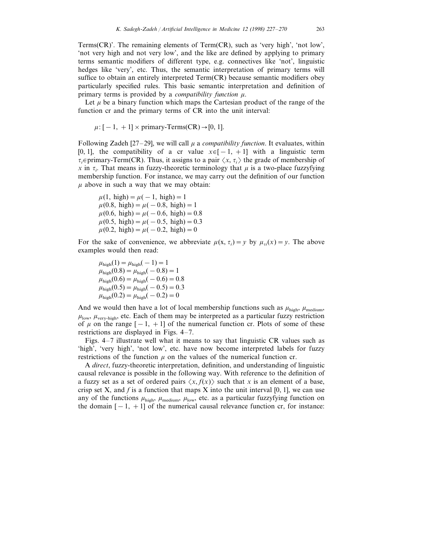Terms(CR)'. The remaining elements of Term(CR), such as 'very high', 'not low', 'not very high and not very low', and the like are defined by applying to primary terms semantic modifiers of different type, e.g. connectives like 'not', linguistic hedges like 'very', etc. Thus, the semantic interpretation of primary terms will suffice to obtain an entirely interpreted Term(CR) because semantic modifiers obey particularly specified rules. This basic semantic interpretation and definition of primary terms is provided by a *compatibility function*  $\mu$ .

Let  $\mu$  be a binary function which maps the Cartesian product of the range of the function cr and the primary terms of CR into the unit interval:

$$
\mu: [-1, +1] \times \text{primary-Terms}(CR) \rightarrow [0, 1].
$$

Following Zadeh [27–29], we will call  $\mu$  a *compatibility function*. It evaluates, within [0, 1], the compatibility of a cr value  $x \in [-1, +1]$  with a linguistic term  $\tau_i \in \text{primary-Term(CR)}$ . Thus, it assigns to a pair  $\langle x, \tau_i \rangle$  the grade of membership of x in  $\tau_i$ . That means in fuzzy-theoretic terminology that  $\mu$  is a two-place fuzzyfying membership function. For instance, we may carry out the definition of our function  $\mu$  above in such a way that we may obtain:

 $\mu(1, high) = \mu(-1, high) = 1$  $\mu(0.8, \text{high}) = \mu(-0.8, \text{high})=1$  $\mu(0.6, \text{ high}) = \mu(-0.6, \text{ high}) = 0.8$  $\mu(0.5, \text{high}) = \mu(-0.5, \text{high}) = 0.3$  $\mu(0.2, \text{high})=\mu(-0.2, \text{high})=0$ 

For the sake of convenience, we abbreviate  $\mu(x, \tau_i) = y$  by  $\mu_{\tau_i}(x) = y$ . The above examples would then read:

$$
\mu_{\text{high}}(1) = \mu_{\text{high}}(-1) = 1
$$
  
\n
$$
\mu_{\text{high}}(0.8) = \mu_{\text{high}}(-0.8) = 1
$$
  
\n
$$
\mu_{\text{high}}(0.6) = \mu_{\text{high}}(-0.6) = 0.8
$$
  
\n
$$
\mu_{\text{high}}(0.5) = \mu_{\text{high}}(-0.5) = 0.3
$$
  
\n
$$
\mu_{\text{high}}(0.2) = \mu_{\text{high}}(-0.2) = 0
$$

And we would then have a lot of local membership functions such as  $\mu_{\text{high}}$ ,  $\mu_{\text{medium}}$ ,  $\mu_{\text{low}}$ ,  $\mu_{\text{very-high}}$ , etc. Each of them may be interpreted as a particular fuzzy restriction of  $\mu$  on the range  $[-1, +1]$  of the numerical function cr. Plots of some of these restrictions are displayed in Figs. 4–7.

Figs. 4–7 illustrate well what it means to say that linguistic CR values such as 'high', 'very high', 'not low', etc. have now become interpreted labels for fuzzy restrictions of the function  $\mu$  on the values of the numerical function cr.

A *direct*, fuzzy-theoretic interpretation, definition, and understanding of linguistic causal relevance is possible in the following way. With reference to the definition of a fuzzy set as a set of ordered pairs  $\langle x, f(x) \rangle$  such that x is an element of a base, crisp set X, and  $f$  is a function that maps X into the unit interval [0, 1], we can use any of the functions  $\mu_{\text{high}}$ ,  $\mu_{\text{medium}}$ ,  $\mu_{\text{low}}$ , etc. as a particular fuzzyfying function on the domain  $[-1, +1]$  of the numerical causal relevance function cr, for instance: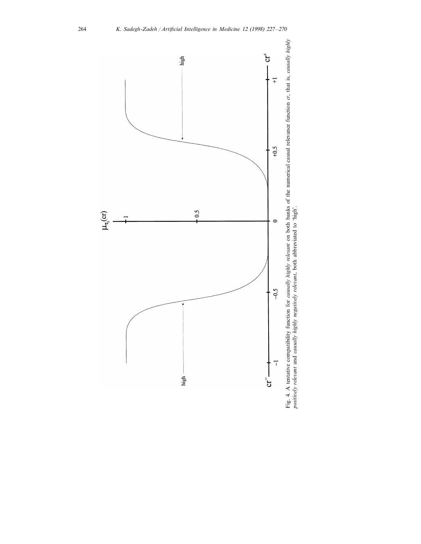

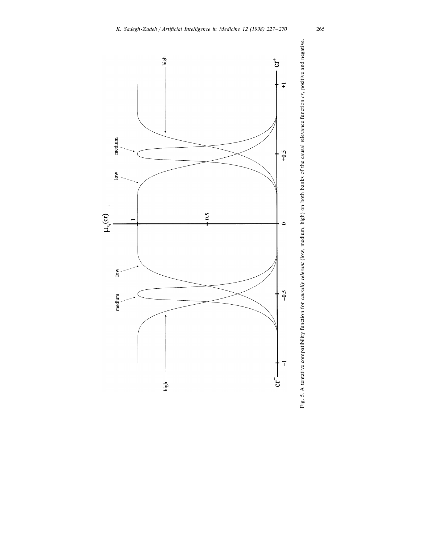

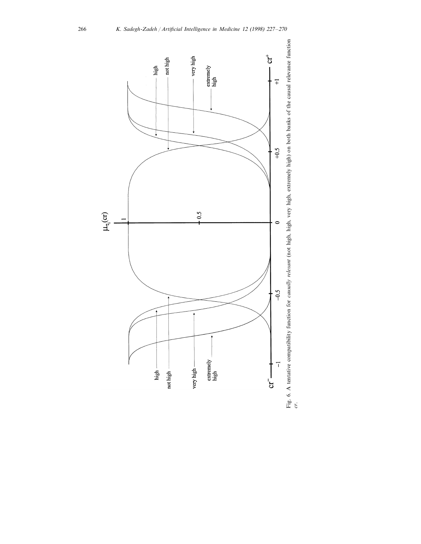

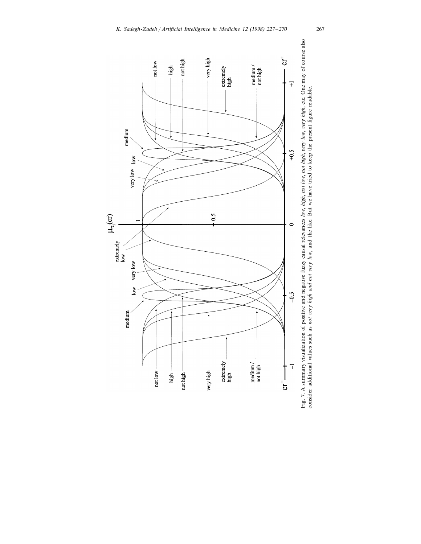

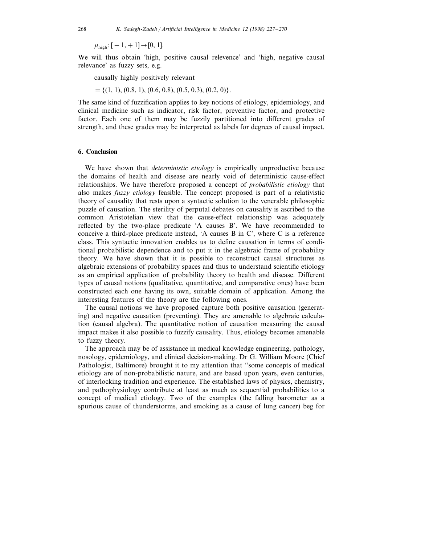$$
\mu_{\text{high}}: [-1, +1] \rightarrow [0, 1].
$$

We will thus obtain 'high, positive causal relevence' and 'high, negative causal relevance' as fuzzy sets, e.g.

causally highly positively relevant

 $= \{(1, 1), (0.8, 1), (0.6, 0.8), (0.5, 0.3), (0.2, 0)\}.$ 

The same kind of fuzzification applies to key notions of etiology, epidemiology, and clinical medicine such as indicator, risk factor, preventive factor, and protective factor. Each one of them may be fuzzily partitioned into different grades of strength, and these grades may be interpreted as labels for degrees of causal impact.

#### **6. Conclusion**

We have shown that *deterministic etiology* is empirically unproductive because the domains of health and disease are nearly void of deterministic cause-effect relationships. We have therefore proposed a concept of *probabilistic etiology* that also makes *fuzzy etiology* feasible. The concept proposed is part of a relativistic theory of causality that rests upon a syntactic solution to the venerable philosophic puzzle of causation. The sterility of perputal debates on causality is ascribed to the common Aristotelian view that the cause-effect relationship was adequately reflected by the two-place predicate 'A causes B'. We have recommended to conceive a third-place predicate instead, 'A causes B in C', where C is a reference class. This syntactic innovation enables us to define causation in terms of conditional probabilistic dependence and to put it in the algebraic frame of probability theory. We have shown that it is possible to reconstruct causal structures as algebraic extensions of probability spaces and thus to understand scientific etiology as an empirical application of probability theory to health and disease. Different types of causal notions (qualitative, quantitative, and comparative ones) have been constructed each one having its own, suitable domain of application. Among the interesting features of the theory are the following ones.

The causal notions we have proposed capture both positive causation (generating) and negative causation (preventing). They are amenable to algebraic calculation (causal algebra). The quantitative notion of causation measuring the causal impact makes it also possible to fuzzify causality. Thus, etiology becomes amenable to fuzzy theory.

The approach may be of assistance in medical knowledge engineering, pathology, nosology, epidemiology, and clinical decision-making. Dr G. William Moore (Chief Pathologist, Baltimore) brought it to my attention that ''some concepts of medical etiology are of non-probabilistic nature, and are based upon years, even centuries, of interlocking tradition and experience. The established laws of physics, chemistry, and pathophysiology contribute at least as much as sequential probabilities to a concept of medical etiology. Two of the examples (the falling barometer as a spurious cause of thunderstorms, and smoking as a cause of lung cancer) beg for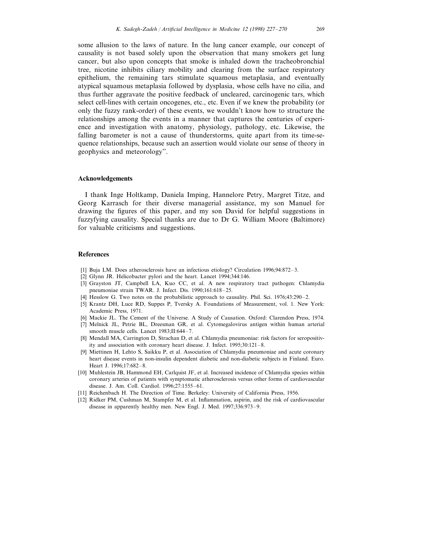some allusion to the laws of nature. In the lung cancer example, our concept of causality is not based solely upon the observation that many smokers get lung cancer, but also upon concepts that smoke is inhaled down the tracheobronchial tree, nicotine inhibits ciliary mobility and clearing from the surface respiratory epithelium, the remaining tars stimulate squamous metaplasia, and eventually atypical squamous metaplasia followed by dysplasia, whose cells have no cilia, and thus further aggravate the positive feedback of uncleared, carcinogenic tars, which select cell-lines with certain oncogenes, etc., etc. Even if we knew the probability (or only the fuzzy rank-order) of these events, we wouldn't know how to structure the relationships among the events in a manner that captures the centuries of experience and investigation with anatomy, physiology, pathology, etc. Likewise, the falling barometer is not a cause of thunderstorms, quite apart from its time-sequence relationships, because such an assertion would violate our sense of theory in geophysics and meteorology''.

# **Acknowledgements**

I thank Inge Holtkamp, Daniela Imping, Hannelore Petry, Margret Titze, and Georg Karrasch for their diverse managerial assistance, my son Manuel for drawing the figures of this paper, and my son David for helpful suggestions in fuzzyfying causality. Special thanks are due to Dr G. William Moore (Baltimore) for valuable criticisms and suggestions.

### **References**

- [1] Buja LM. Does atherosclerosis have an infectious etiology? Circulation 1996;94:872–3.
- [2] Glynn JR. Helicobacter pylori and the heart. Lancet 1994;344:146.
- [3] Grayston JT, Campbell LA, Kuo CC, et al. A new respiratory tract pathogen: Chlamydia pneumoniae strain TWAR. J. Infect. Dis. 1990;161:618–25.
- [4] Hesslow G. Two notes on the probabilistic approach to causality. Phil. Sci. 1976;43:290–2.
- [5] Krantz DH, Luce RD, Suppes P, Tversky A. Foundations of Measurement, vol. 1. New York: Academic Press, 1971.
- [6] Mackie JL. The Cement of the Universe. A Study of Causation. Oxford: Clarendon Press, 1974.
- [7] Melnick JL, Petrie BL, Dreesman GR, et al. Cytomegalovirus antigen within human arterial smooth muscle cells. Lancet 1983;II:644-7.
- [8] Mendall MA, Carrington D, Strachan D, et al. Chlamydia pneumoniae: risk factors for seropositivity and association with coronary heart disease. J. Infect. 1995;30:121–8.
- [9] Miettinen H, Lehto S, Saikku P, et al. Association of Chlamydia pneumoniae and acute coronary heart disease events in non-insulin dependent diabetic and non-diabetic subjects in Finland. Euro. Heart J. 1996;17:682–8.
- [10] Muhlestein JB, Hammond EH, Carlquist JF, et al. Increased incidence of Chlamydia species within coronary arteries of patients with symptomatic atherosclerosis versus other forms of cardiovascular disease. J. Am. Coll. Cardiol. 1996;27:1555–61.
- [11] Reichenbach H. The Direction of Time. Berkeley: University of California Press, 1956.
- [12] Ridker PM, Cushman M, Stampfer M, et al. Inflammation, aspirin, and the risk of cardiovascular disease in apparently healthy men. New Engl. J. Med. 1997;336:973–9.